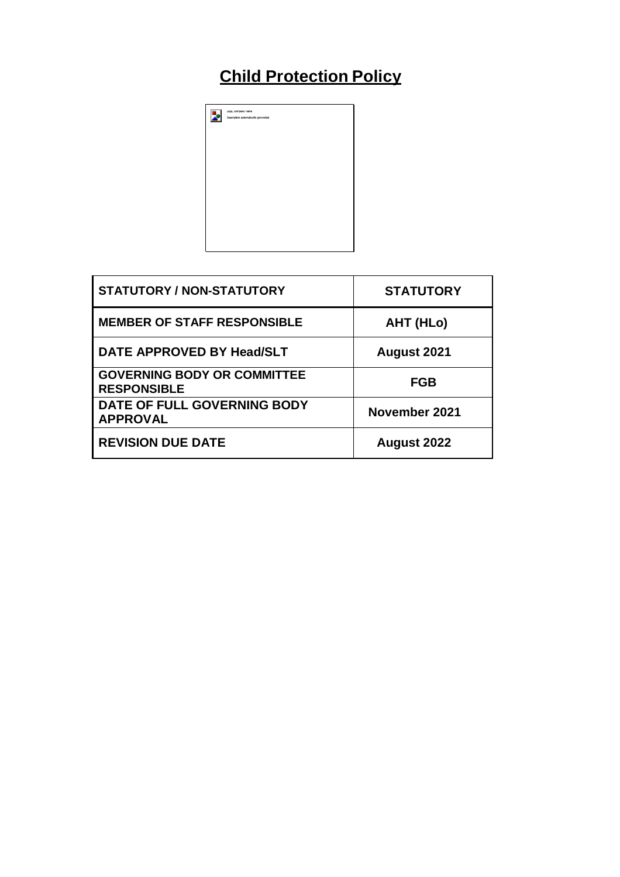# **Child Protection Policy**



| <b>STATUTORY / NON-STATUTORY</b>                         | <b>STATUTORY</b> |
|----------------------------------------------------------|------------------|
| <b>MEMBER OF STAFF RESPONSIBLE</b>                       | AHT (HLo)        |
| DATE APPROVED BY Head/SLT                                | August 2021      |
| <b>GOVERNING BODY OR COMMITTEE</b><br><b>RESPONSIBLE</b> | FGB              |
| DATE OF FULL GOVERNING BODY<br><b>APPROVAL</b>           | November 2021    |
| <b>REVISION DUE DATE</b>                                 | August 2022      |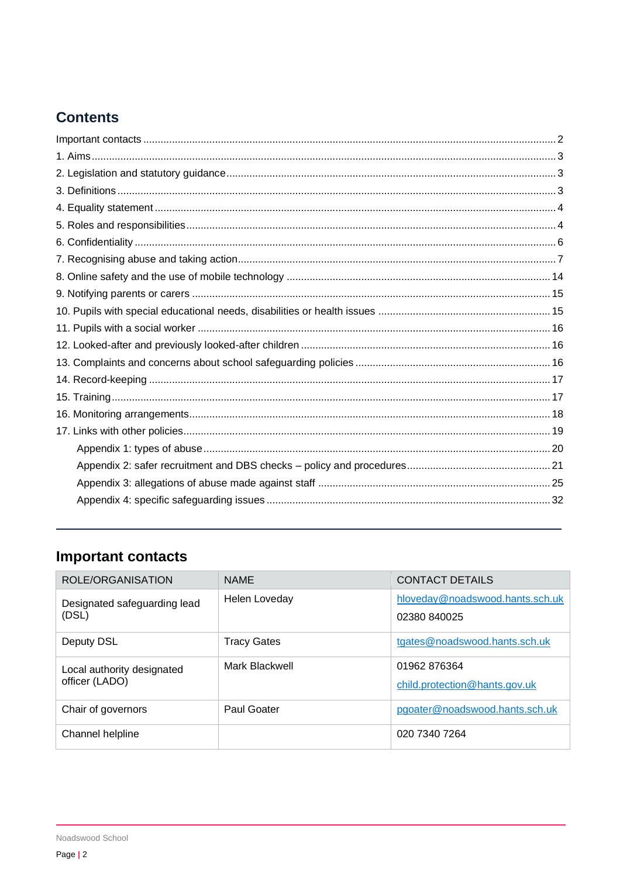# **Contents**

# <span id="page-1-0"></span>**Important contacts**

| ROLE/ORGANISATION                            | <b>NAME</b>        | <b>CONTACT DETAILS</b>                          |
|----------------------------------------------|--------------------|-------------------------------------------------|
| Designated safeguarding lead<br>(DSL)        | Helen Loveday      | hloveday@noadswood.hants.sch.uk<br>02380 840025 |
| Deputy DSL                                   | <b>Tracy Gates</b> | tgates@noadswood.hants.sch.uk                   |
| Local authority designated<br>officer (LADO) | Mark Blackwell     | 01962 876364<br>child.protection@hants.gov.uk   |
| Chair of governors                           | Paul Goater        | pgoater@noadswood.hants.sch.uk                  |
| Channel helpline                             |                    | 020 7340 7264                                   |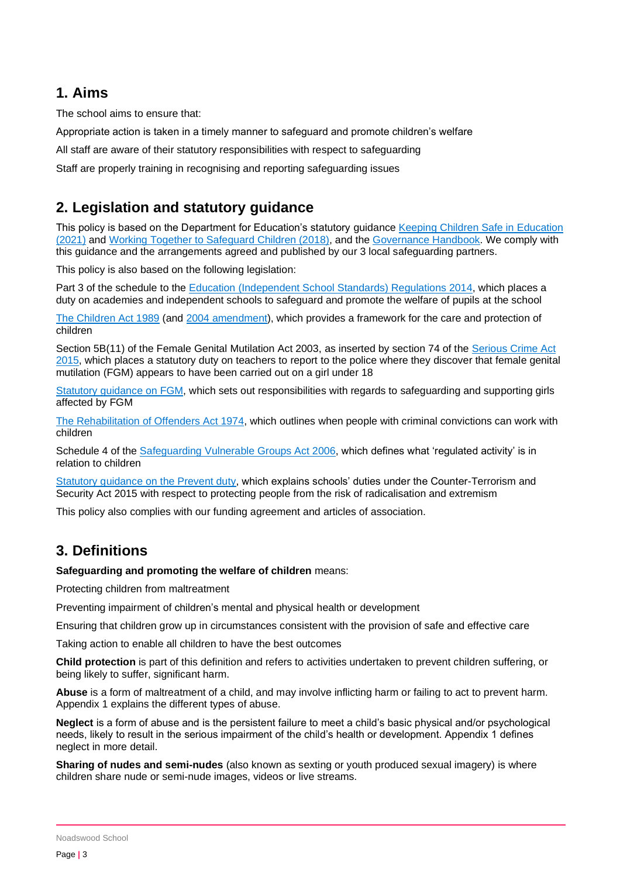# <span id="page-2-0"></span>**1. Aims**

The school aims to ensure that:

Appropriate action is taken in a timely manner to safeguard and promote children's welfare

All staff are aware of their statutory responsibilities with respect to safeguarding

Staff are properly training in recognising and reporting safeguarding issues

# <span id="page-2-1"></span>**2. Legislation and statutory guidance**

This policy is based on the Department for Education's statutory guidance [Keeping Children Safe in Education](https://www.gov.uk/government/publications/keeping-children-safe-in-education--2)  [\(2021\)](https://www.gov.uk/government/publications/keeping-children-safe-in-education--2) and [Working Together to Safeguard Children \(2018\),](https://www.gov.uk/government/publications/working-together-to-safeguard-children--2) and the [Governance Handbook.](https://www.gov.uk/government/publications/governance-handbook) We comply with this guidance and the arrangements agreed and published by our 3 local safeguarding partners.

This policy is also based on the following legislation:

Part 3 of the schedule to the [Education \(Independent School Standards\) Regulations 2014,](http://www.legislation.gov.uk/uksi/2014/3283/schedule/part/3/made) which places a duty on academies and independent schools to safeguard and promote the welfare of pupils at the school

[The Children Act 1989](http://www.legislation.gov.uk/ukpga/1989/41) (and [2004 amendment\)](http://www.legislation.gov.uk/ukpga/2004/31/contents), which provides a framework for the care and protection of children

Section 5B(11) of the Female Genital Mutilation Act 2003, as inserted by section 74 of the [Serious Crime Act](http://www.legislation.gov.uk/ukpga/2015/9/part/5/crossheading/female-genital-mutilation)  [2015,](http://www.legislation.gov.uk/ukpga/2015/9/part/5/crossheading/female-genital-mutilation) which places a statutory duty on teachers to report to the police where they discover that female genital mutilation (FGM) appears to have been carried out on a girl under 18

[Statutory guidance on FGM,](https://www.gov.uk/government/publications/multi-agency-statutory-guidance-on-female-genital-mutilation) which sets out responsibilities with regards to safeguarding and supporting girls affected by FGM

[The Rehabilitation of Offenders Act 1974,](http://www.legislation.gov.uk/ukpga/1974/53) which outlines when people with criminal convictions can work with children

Schedule 4 of the [Safeguarding Vulnerable Groups Act 2006,](http://www.legislation.gov.uk/ukpga/2006/47/schedule/4) which defines what 'regulated activity' is in relation to children

[Statutory guidance on the Prevent duty,](https://www.gov.uk/government/publications/prevent-duty-guidance) which explains schools' duties under the Counter-Terrorism and Security Act 2015 with respect to protecting people from the risk of radicalisation and extremism

This policy also complies with our funding agreement and articles of association.

# <span id="page-2-2"></span>**3. Definitions**

**Safeguarding and promoting the welfare of children** means:

Protecting children from maltreatment

Preventing impairment of children's mental and physical health or development

Ensuring that children grow up in circumstances consistent with the provision of safe and effective care

Taking action to enable all children to have the best outcomes

**Child protection** is part of this definition and refers to activities undertaken to prevent children suffering, or being likely to suffer, significant harm.

**Abuse** is a form of maltreatment of a child, and may involve inflicting harm or failing to act to prevent harm. Appendix 1 explains the different types of abuse.

**Neglect** is a form of abuse and is the persistent failure to meet a child's basic physical and/or psychological needs, likely to result in the serious impairment of the child's health or development. Appendix 1 defines neglect in more detail.

**Sharing of nudes and semi-nudes** (also known as sexting or youth produced sexual imagery) is where children share nude or semi-nude images, videos or live streams.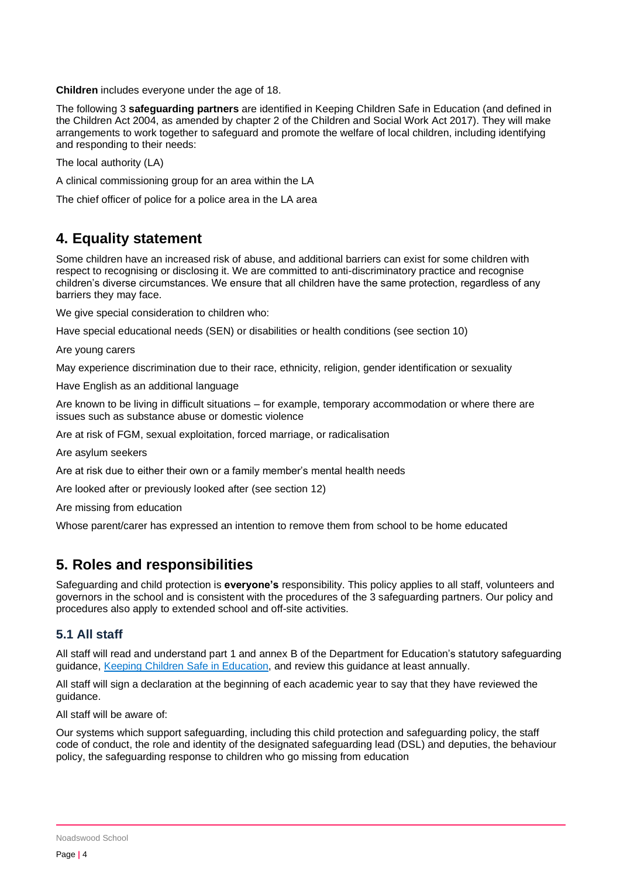**Children** includes everyone under the age of 18.

The following 3 **safeguarding partners** are identified in Keeping Children Safe in Education (and defined in the Children Act 2004, as amended by chapter 2 of the Children and Social Work Act 2017). They will make arrangements to work together to safeguard and promote the welfare of local children, including identifying and responding to their needs:

The local authority (LA)

A clinical commissioning group for an area within the LA

The chief officer of police for a police area in the LA area

# <span id="page-3-0"></span>**4. Equality statement**

Some children have an increased risk of abuse, and additional barriers can exist for some children with respect to recognising or disclosing it. We are committed to anti-discriminatory practice and recognise children's diverse circumstances. We ensure that all children have the same protection, regardless of any barriers they may face.

We give special consideration to children who:

Have special educational needs (SEN) or disabilities or health conditions (see section 10)

Are young carers

May experience discrimination due to their race, ethnicity, religion, gender identification or sexuality

Have English as an additional language

Are known to be living in difficult situations – for example, temporary accommodation or where there are issues such as substance abuse or domestic violence

Are at risk of FGM, sexual exploitation, forced marriage, or radicalisation

Are asylum seekers

Are at risk due to either their own or a family member's mental health needs

Are looked after or previously looked after (see section 12)

Are missing from education

Whose parent/carer has expressed an intention to remove them from school to be home educated

# <span id="page-3-1"></span>**5. Roles and responsibilities**

Safeguarding and child protection is **everyone's** responsibility. This policy applies to all staff, volunteers and governors in the school and is consistent with the procedures of the 3 safeguarding partners. Our policy and procedures also apply to extended school and off-site activities.

# **5.1 All staff**

All staff will read and understand part 1 and annex B of the Department for Education's statutory safeguarding guidance, [Keeping Children Safe in Education,](https://www.gov.uk/government/publications/keeping-children-safe-in-education--2) and review this guidance at least annually.

All staff will sign a declaration at the beginning of each academic year to say that they have reviewed the guidance.

All staff will be aware of:

Our systems which support safeguarding, including this child protection and safeguarding policy, the staff code of conduct, the role and identity of the designated safeguarding lead (DSL) and deputies, the behaviour policy, the safeguarding response to children who go missing from education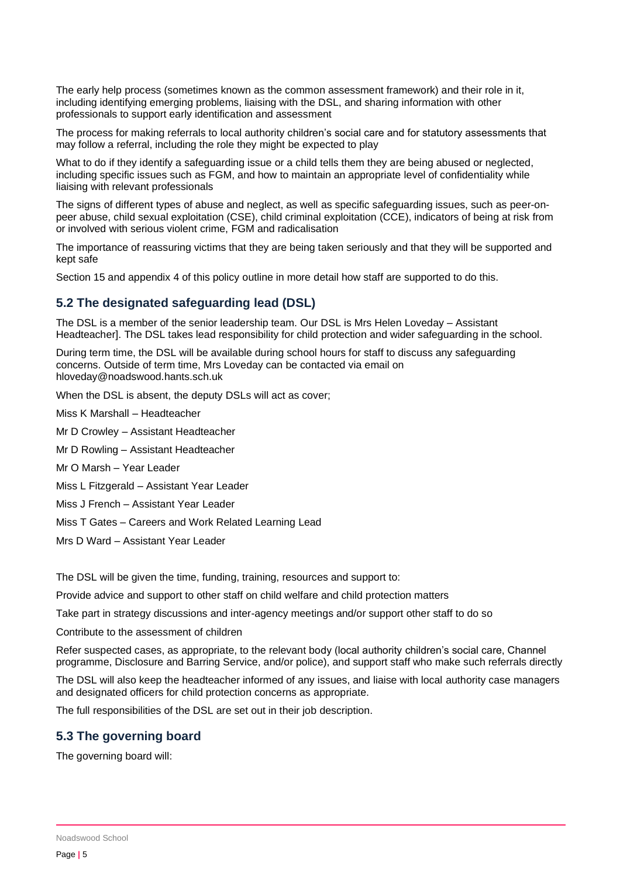The early help process (sometimes known as the common assessment framework) and their role in it, including identifying emerging problems, liaising with the DSL, and sharing information with other professionals to support early identification and assessment

The process for making referrals to local authority children's social care and for statutory assessments that may follow a referral, including the role they might be expected to play

What to do if they identify a safeguarding issue or a child tells them they are being abused or neglected, including specific issues such as FGM, and how to maintain an appropriate level of confidentiality while liaising with relevant professionals

The signs of different types of abuse and neglect, as well as specific safeguarding issues, such as peer-onpeer abuse, child sexual exploitation (CSE), child criminal exploitation (CCE), indicators of being at risk from or involved with serious violent crime, FGM and radicalisation

The importance of reassuring victims that they are being taken seriously and that they will be supported and kept safe

Section 15 and appendix 4 of this policy outline in more detail how staff are supported to do this.

## **5.2 The designated safeguarding lead (DSL)**

The DSL is a member of the senior leadership team. Our DSL is Mrs Helen Loveday – Assistant Headteacher]. The DSL takes lead responsibility for child protection and wider safeguarding in the school.

During term time, the DSL will be available during school hours for staff to discuss any safeguarding concerns. Outside of term time, Mrs Loveday can be contacted via email on hloveday@noadswood.hants.sch.uk

When the DSL is absent, the deputy DSLs will act as cover;

Miss K Marshall – Headteacher

Mr D Crowley – Assistant Headteacher

Mr D Rowling – Assistant Headteacher

Mr O Marsh – Year Leader

Miss L Fitzgerald – Assistant Year Leader

Miss J French – Assistant Year Leader

Miss T Gates – Careers and Work Related Learning Lead

Mrs D Ward – Assistant Year Leader

The DSL will be given the time, funding, training, resources and support to:

Provide advice and support to other staff on child welfare and child protection matters

Take part in strategy discussions and inter-agency meetings and/or support other staff to do so

Contribute to the assessment of children

Refer suspected cases, as appropriate, to the relevant body (local authority children's social care, Channel programme, Disclosure and Barring Service, and/or police), and support staff who make such referrals directly

The DSL will also keep the headteacher informed of any issues, and liaise with local authority case managers and designated officers for child protection concerns as appropriate.

The full responsibilities of the DSL are set out in their job description.

## **5.3 The governing board**

The governing board will: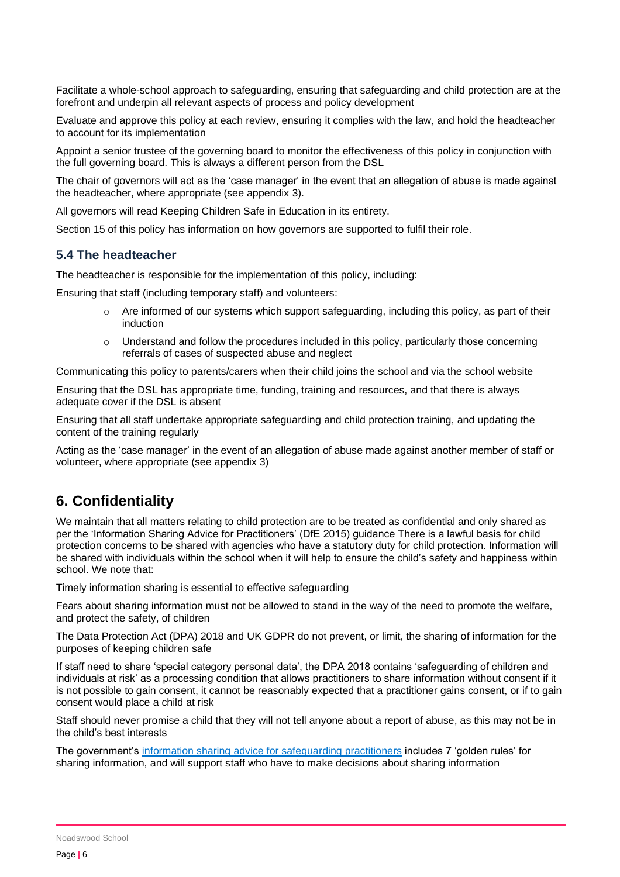Facilitate a whole-school approach to safeguarding, ensuring that safeguarding and child protection are at the forefront and underpin all relevant aspects of process and policy development

Evaluate and approve this policy at each review, ensuring it complies with the law, and hold the headteacher to account for its implementation

Appoint a senior trustee of the governing board to monitor the effectiveness of this policy in conjunction with the full governing board. This is always a different person from the DSL

The chair of governors will act as the 'case manager' in the event that an allegation of abuse is made against the headteacher, where appropriate (see appendix 3).

All governors will read Keeping Children Safe in Education in its entirety.

Section 15 of this policy has information on how governors are supported to fulfil their role.

### **5.4 The headteacher**

The headteacher is responsible for the implementation of this policy, including:

Ensuring that staff (including temporary staff) and volunteers:

- $\circ$  Are informed of our systems which support safeguarding, including this policy, as part of their induction
- $\circ$  Understand and follow the procedures included in this policy, particularly those concerning referrals of cases of suspected abuse and neglect

Communicating this policy to parents/carers when their child joins the school and via the school website

Ensuring that the DSL has appropriate time, funding, training and resources, and that there is always adequate cover if the DSL is absent

Ensuring that all staff undertake appropriate safeguarding and child protection training, and updating the content of the training regularly

Acting as the 'case manager' in the event of an allegation of abuse made against another member of staff or volunteer, where appropriate (see appendix 3)

# <span id="page-5-0"></span>**6. Confidentiality**

We maintain that all matters relating to child protection are to be treated as confidential and only shared as per the 'Information Sharing Advice for Practitioners' (DfE 2015) guidance There is a lawful basis for child protection concerns to be shared with agencies who have a statutory duty for child protection. Information will be shared with individuals within the school when it will help to ensure the child's safety and happiness within school. We note that:

Timely information sharing is essential to effective safeguarding

Fears about sharing information must not be allowed to stand in the way of the need to promote the welfare, and protect the safety, of children

The Data Protection Act (DPA) 2018 and UK GDPR do not prevent, or limit, the sharing of information for the purposes of keeping children safe

If staff need to share 'special category personal data', the DPA 2018 contains 'safeguarding of children and individuals at risk' as a processing condition that allows practitioners to share information without consent if it is not possible to gain consent, it cannot be reasonably expected that a practitioner gains consent, or if to gain consent would place a child at risk

Staff should never promise a child that they will not tell anyone about a report of abuse, as this may not be in the child's best interests

The government's [information sharing advice for safeguarding](https://www.gov.uk/government/publications/safeguarding-practitioners-information-sharing-advice) practitioners includes 7 'golden rules' for sharing information, and will support staff who have to make decisions about sharing information

Noadswood School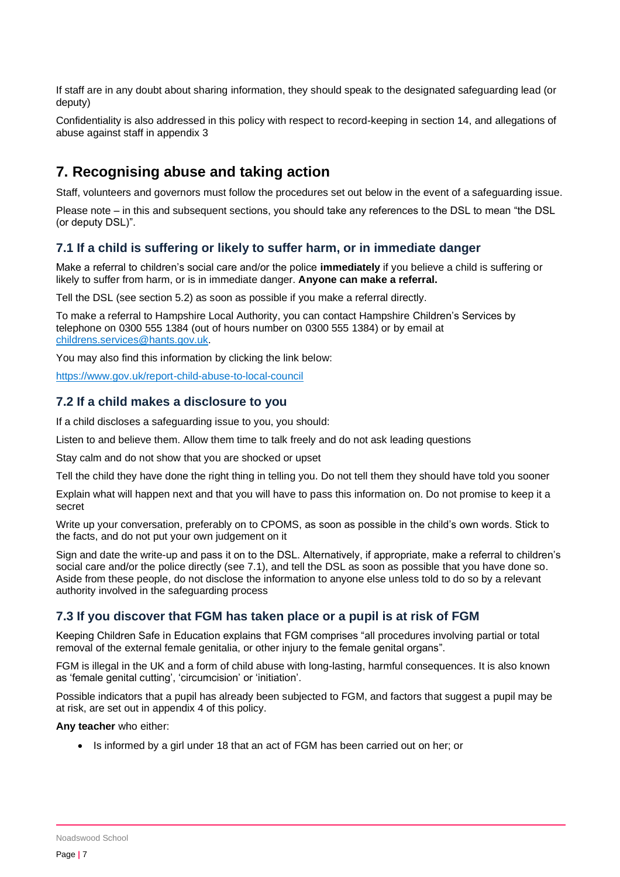If staff are in any doubt about sharing information, they should speak to the designated safeguarding lead (or deputy)

Confidentiality is also addressed in this policy with respect to record-keeping in section 14, and allegations of abuse against staff in appendix 3

# <span id="page-6-0"></span>**7. Recognising abuse and taking action**

Staff, volunteers and governors must follow the procedures set out below in the event of a safeguarding issue.

Please note – in this and subsequent sections, you should take any references to the DSL to mean "the DSL (or deputy DSL)".

## **7.1 If a child is suffering or likely to suffer harm, or in immediate danger**

Make a referral to children's social care and/or the police **immediately** if you believe a child is suffering or likely to suffer from harm, or is in immediate danger. **Anyone can make a referral.**

Tell the DSL (see section 5.2) as soon as possible if you make a referral directly.

To make a referral to Hampshire Local Authority, you can contact Hampshire Children's Services by telephone on 0300 555 1384 (out of hours number on 0300 555 1384) or by email at [childrens.services@hants.gov.uk.](mailto:childrens.services@hants.gov.uk)

You may also find this information by clicking the link below:

<https://www.gov.uk/report-child-abuse-to-local-council>

## **7.2 If a child makes a disclosure to you**

If a child discloses a safeguarding issue to you, you should:

Listen to and believe them. Allow them time to talk freely and do not ask leading questions

Stay calm and do not show that you are shocked or upset

Tell the child they have done the right thing in telling you. Do not tell them they should have told you sooner

Explain what will happen next and that you will have to pass this information on. Do not promise to keep it a secret

Write up your conversation, preferably on to CPOMS, as soon as possible in the child's own words. Stick to the facts, and do not put your own judgement on it

Sign and date the write-up and pass it on to the DSL. Alternatively, if appropriate, make a referral to children's social care and/or the police directly (see 7.1), and tell the DSL as soon as possible that you have done so. Aside from these people, do not disclose the information to anyone else unless told to do so by a relevant authority involved in the safeguarding process

## **7.3 If you discover that FGM has taken place or a pupil is at risk of FGM**

Keeping Children Safe in Education explains that FGM comprises "all procedures involving partial or total removal of the external female genitalia, or other injury to the female genital organs".

FGM is illegal in the UK and a form of child abuse with long-lasting, harmful consequences. It is also known as 'female genital cutting', 'circumcision' or 'initiation'.

Possible indicators that a pupil has already been subjected to FGM, and factors that suggest a pupil may be at risk, are set out in appendix 4 of this policy.

**Any teacher** who either:

• Is informed by a girl under 18 that an act of FGM has been carried out on her; or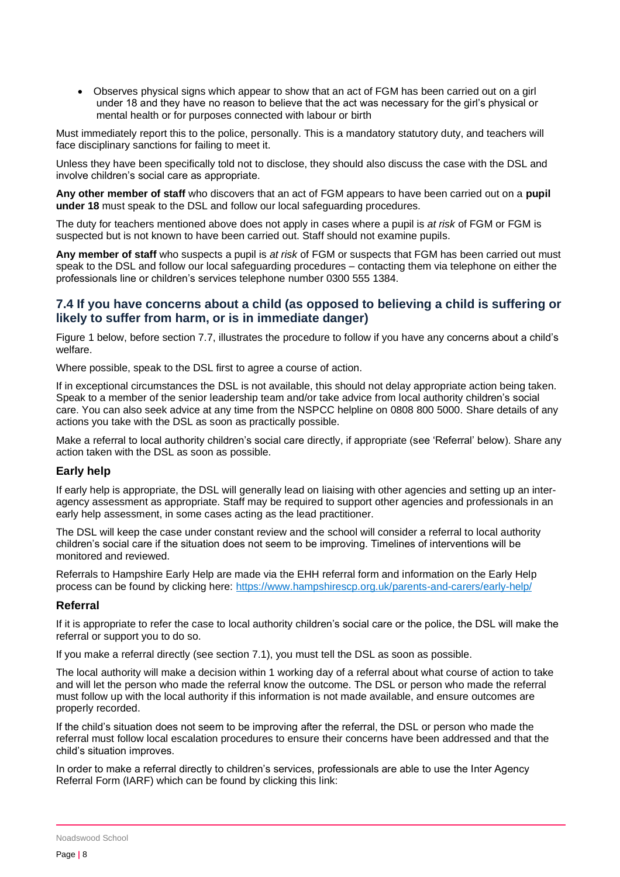• Observes physical signs which appear to show that an act of FGM has been carried out on a girl under 18 and they have no reason to believe that the act was necessary for the girl's physical or mental health or for purposes connected with labour or birth

Must immediately report this to the police, personally. This is a mandatory statutory duty, and teachers will face disciplinary sanctions for failing to meet it.

Unless they have been specifically told not to disclose, they should also discuss the case with the DSL and involve children's social care as appropriate.

**Any other member of staff** who discovers that an act of FGM appears to have been carried out on a **pupil under 18** must speak to the DSL and follow our local safeguarding procedures.

The duty for teachers mentioned above does not apply in cases where a pupil is *at risk* of FGM or FGM is suspected but is not known to have been carried out. Staff should not examine pupils.

**Any member of staff** who suspects a pupil is *at risk* of FGM or suspects that FGM has been carried out must speak to the DSL and follow our local safeguarding procedures – contacting them via telephone on either the professionals line or children's services telephone number 0300 555 1384.

## **7.4 If you have concerns about a child (as opposed to believing a child is suffering or likely to suffer from harm, or is in immediate danger)**

Figure 1 below, before section 7.7, illustrates the procedure to follow if you have any concerns about a child's welfare.

Where possible, speak to the DSL first to agree a course of action.

If in exceptional circumstances the DSL is not available, this should not delay appropriate action being taken. Speak to a member of the senior leadership team and/or take advice from local authority children's social care. You can also seek advice at any time from the NSPCC helpline on 0808 800 5000. Share details of any actions you take with the DSL as soon as practically possible.

Make a referral to local authority children's social care directly, if appropriate (see 'Referral' below). Share any action taken with the DSL as soon as possible.

### **Early help**

If early help is appropriate, the DSL will generally lead on liaising with other agencies and setting up an interagency assessment as appropriate. Staff may be required to support other agencies and professionals in an early help assessment, in some cases acting as the lead practitioner.

The DSL will keep the case under constant review and the school will consider a referral to local authority children's social care if the situation does not seem to be improving. Timelines of interventions will be monitored and reviewed.

Referrals to Hampshire Early Help are made via the EHH referral form and information on the Early Help process can be found by clicking here:<https://www.hampshirescp.org.uk/parents-and-carers/early-help/>

### **Referral**

If it is appropriate to refer the case to local authority children's social care or the police, the DSL will make the referral or support you to do so.

If you make a referral directly (see section 7.1), you must tell the DSL as soon as possible.

The local authority will make a decision within 1 working day of a referral about what course of action to take and will let the person who made the referral know the outcome. The DSL or person who made the referral must follow up with the local authority if this information is not made available, and ensure outcomes are properly recorded.

If the child's situation does not seem to be improving after the referral, the DSL or person who made the referral must follow local escalation procedures to ensure their concerns have been addressed and that the child's situation improves.

In order to make a referral directly to children's services, professionals are able to use the Inter Agency Referral Form (IARF) which can be found by clicking this link: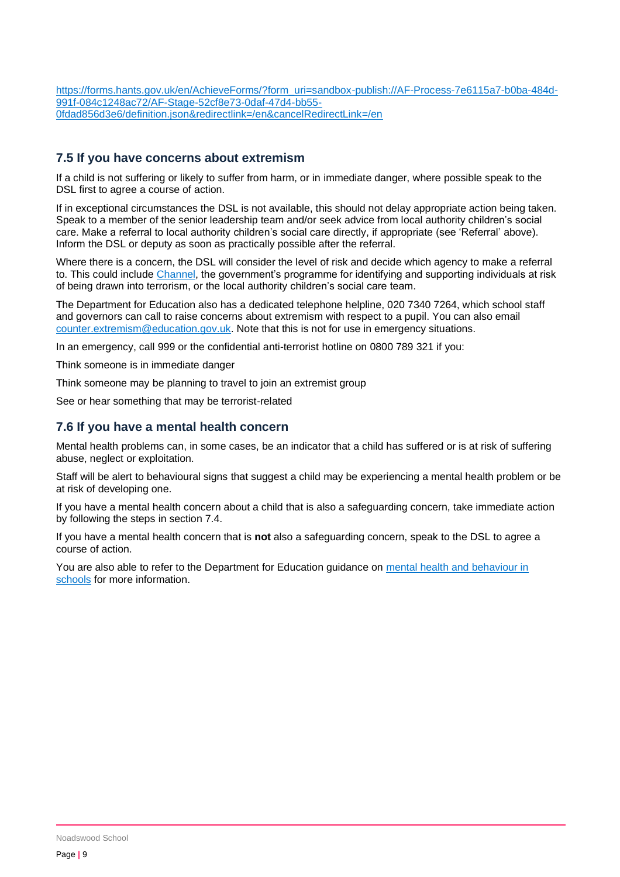[https://forms.hants.gov.uk/en/AchieveForms/?form\\_uri=sandbox-publish://AF-Process-7e6115a7-b0ba-484d-](https://forms.hants.gov.uk/en/AchieveForms/?form_uri=sandbox-publish://AF-Process-7e6115a7-b0ba-484d-991f-084c1248ac72/AF-Stage-52cf8e73-0daf-47d4-bb55-0fdad856d3e6/definition.json&redirectlink=/en&cancelRedirectLink=/en)[991f-084c1248ac72/AF-Stage-52cf8e73-0daf-47d4-bb55-](https://forms.hants.gov.uk/en/AchieveForms/?form_uri=sandbox-publish://AF-Process-7e6115a7-b0ba-484d-991f-084c1248ac72/AF-Stage-52cf8e73-0daf-47d4-bb55-0fdad856d3e6/definition.json&redirectlink=/en&cancelRedirectLink=/en) [0fdad856d3e6/definition.json&redirectlink=/en&cancelRedirectLink=/en](https://forms.hants.gov.uk/en/AchieveForms/?form_uri=sandbox-publish://AF-Process-7e6115a7-b0ba-484d-991f-084c1248ac72/AF-Stage-52cf8e73-0daf-47d4-bb55-0fdad856d3e6/definition.json&redirectlink=/en&cancelRedirectLink=/en)

# **7.5 If you have concerns about extremism**

If a child is not suffering or likely to suffer from harm, or in immediate danger, where possible speak to the DSL first to agree a course of action.

If in exceptional circumstances the DSL is not available, this should not delay appropriate action being taken. Speak to a member of the senior leadership team and/or seek advice from local authority children's social care. Make a referral to local authority children's social care directly, if appropriate (see 'Referral' above). Inform the DSL or deputy as soon as practically possible after the referral.

Where there is a concern, the DSL will consider the level of risk and decide which agency to make a referral to. This could include [Channel,](https://www.gov.uk/government/publications/channel-guidance) the government's programme for identifying and supporting individuals at risk of being drawn into terrorism, or the local authority children's social care team.

The Department for Education also has a dedicated telephone helpline, 020 7340 7264, which school staff and governors can call to raise concerns about extremism with respect to a pupil. You can also email [counter.extremism@education.gov.uk.](mailto:counter.extremism@education.gov.uk) Note that this is not for use in emergency situations.

In an emergency, call 999 or the confidential anti-terrorist hotline on 0800 789 321 if you:

Think someone is in immediate danger

Think someone may be planning to travel to join an extremist group

See or hear something that may be terrorist-related

## **7.6 If you have a mental health concern**

Mental health problems can, in some cases, be an indicator that a child has suffered or is at risk of suffering abuse, neglect or exploitation.

Staff will be alert to behavioural signs that suggest a child may be experiencing a mental health problem or be at risk of developing one.

If you have a mental health concern about a child that is also a safeguarding concern, take immediate action by following the steps in section 7.4.

If you have a mental health concern that is **not** also a safeguarding concern, speak to the DSL to agree a course of action.

You are also able to refer to the Department for Education guidance on [mental health and behaviour in](https://www.gov.uk/government/publications/mental-health-and-behaviour-in-schools--2)  [schools](https://www.gov.uk/government/publications/mental-health-and-behaviour-in-schools--2) for more information.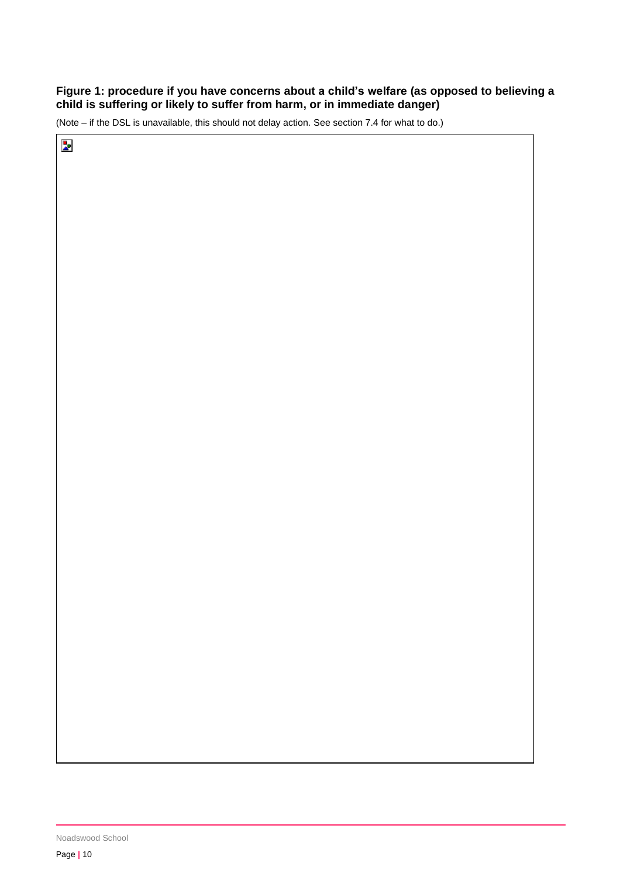## **Figure 1: procedure if you have concerns about a child's welfare (as opposed to believing a child is suffering or likely to suffer from harm, or in immediate danger)**

(Note – if the DSL is unavailable, this should not delay action. See section 7.4 for what to do.)

Noadswood School

 $\overline{\mathbf{z}}$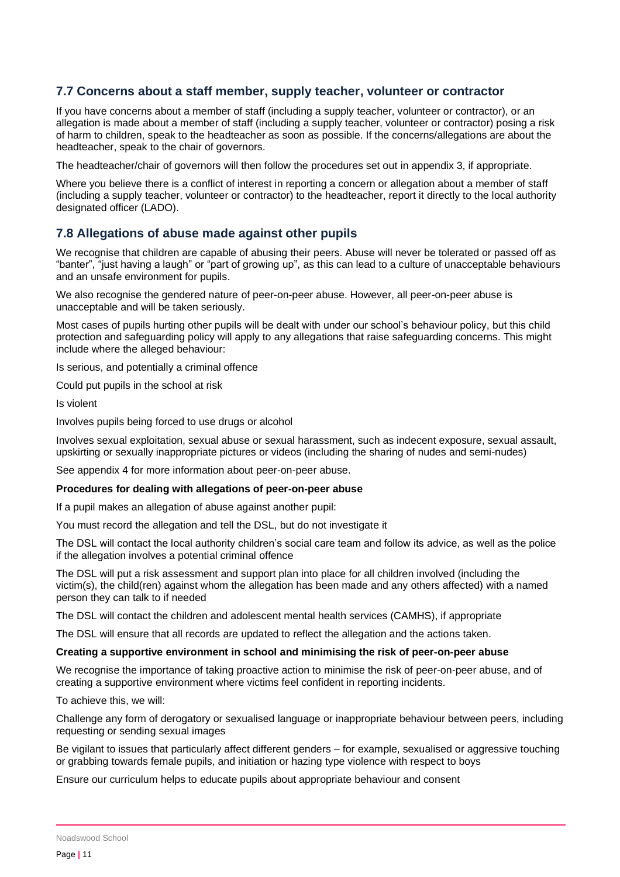## **7.7 Concerns about a staff member, supply teacher, volunteer or contractor**

If you have concerns about a member of staff (including a supply teacher, volunteer or contractor), or an allegation is made about a member of staff (including a supply teacher, volunteer or contractor) posing a risk of harm to children, speak to the headteacher as soon as possible. If the concerns/allegations are about the headteacher, speak to the chair of governors.

The headteacher/chair of governors will then follow the procedures set out in appendix 3, if appropriate.

Where you believe there is a conflict of interest in reporting a concern or allegation about a member of staff (including a supply teacher, volunteer or contractor) to the headteacher, report it directly to the local authority designated officer (LADO).

## **7.8 Allegations of abuse made against other pupils**

We recognise that children are capable of abusing their peers. Abuse will never be tolerated or passed off as "banter", "just having a laugh" or "part of growing up", as this can lead to a culture of unacceptable behaviours and an unsafe environment for pupils.

We also recognise the gendered nature of peer-on-peer abuse. However, all peer-on-peer abuse is unacceptable and will be taken seriously.

Most cases of pupils hurting other pupils will be dealt with under our school's behaviour policy, but this child protection and safeguarding policy will apply to any allegations that raise safeguarding concerns. This might include where the alleged behaviour:

Is serious, and potentially a criminal offence

Could put pupils in the school at risk

Is violent

Involves pupils being forced to use drugs or alcohol

Involves sexual exploitation, sexual abuse or sexual harassment, such as indecent exposure, sexual assault, upskirting or sexually inappropriate pictures or videos (including the sharing of nudes and semi-nudes)

See appendix 4 for more information about peer-on-peer abuse.

#### **Procedures for dealing with allegations of peer-on-peer abuse**

If a pupil makes an allegation of abuse against another pupil:

You must record the allegation and tell the DSL, but do not investigate it

The DSL will contact the local authority children's social care team and follow its advice, as well as the police if the allegation involves a potential criminal offence

The DSL will put a risk assessment and support plan into place for all children involved (including the victim(s), the child(ren) against whom the allegation has been made and any others affected) with a named person they can talk to if needed

The DSL will contact the children and adolescent mental health services (CAMHS), if appropriate

The DSL will ensure that all records are updated to reflect the allegation and the actions taken.

#### **Creating a supportive environment in school and minimising the risk of peer-on-peer abuse**

We recognise the importance of taking proactive action to minimise the risk of peer-on-peer abuse, and of creating a supportive environment where victims feel confident in reporting incidents.

To achieve this, we will:

Challenge any form of derogatory or sexualised language or inappropriate behaviour between peers, including requesting or sending sexual images

Be vigilant to issues that particularly affect different genders – for example, sexualised or aggressive touching or grabbing towards female pupils, and initiation or hazing type violence with respect to boys

Ensure our curriculum helps to educate pupils about appropriate behaviour and consent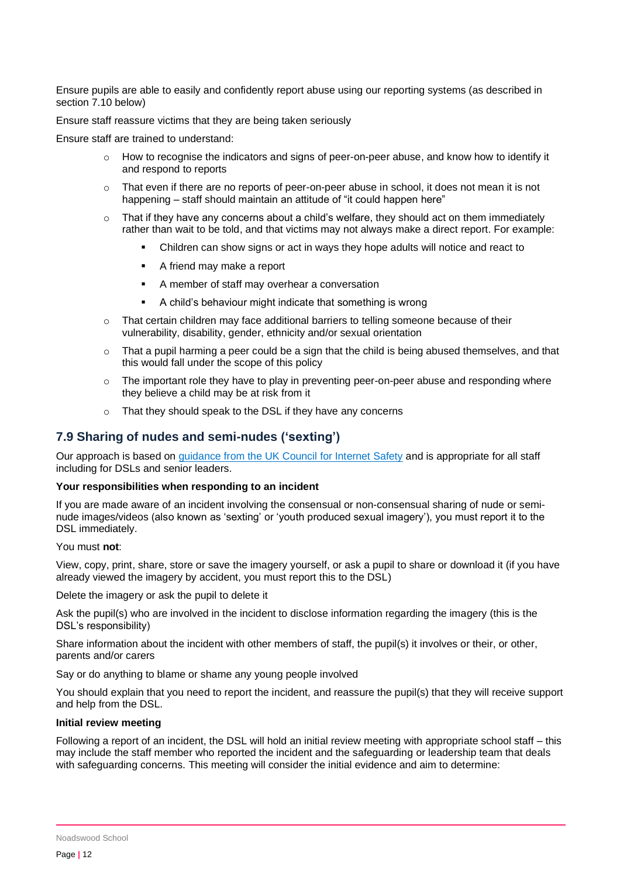Ensure pupils are able to easily and confidently report abuse using our reporting systems (as described in section 7.10 below)

Ensure staff reassure victims that they are being taken seriously

Ensure staff are trained to understand:

- How to recognise the indicators and signs of peer-on-peer abuse, and know how to identify it and respond to reports
- o That even if there are no reports of peer-on-peer abuse in school, it does not mean it is not happening – staff should maintain an attitude of "it could happen here"
- o That if they have any concerns about a child's welfare, they should act on them immediately rather than wait to be told, and that victims may not always make a direct report. For example:
	- Children can show signs or act in ways they hope adults will notice and react to
	- A friend may make a report
	- A member of staff may overhear a conversation
	- A child's behaviour might indicate that something is wrong
- $\circ$  That certain children may face additional barriers to telling someone because of their vulnerability, disability, gender, ethnicity and/or sexual orientation
- $\circ$  That a pupil harming a peer could be a sign that the child is being abused themselves, and that this would fall under the scope of this policy
- $\circ$  The important role they have to play in preventing peer-on-peer abuse and responding where they believe a child may be at risk from it
- o That they should speak to the DSL if they have any concerns

### **7.9 Sharing of nudes and semi-nudes ('sexting')**

Our approach is based on [guidance from the UK Council for Internet Safety](https://www.gov.uk/government/publications/sharing-nudes-and-semi-nudes-advice-for-education-settings-working-with-children-and-young-people) and is appropriate for all staff including for [DSLs and senior leaders.](https://assets.publishing.service.gov.uk/government/uploads/system/uploads/attachment_data/file/609874/6_2939_SP_NCA_Sexting_In_Schools_FINAL_Update_Jan17.pdf)

#### **Your responsibilities when responding to an incident**

If you are made aware of an incident involving the consensual or non-consensual sharing of nude or seminude images/videos (also known as 'sexting' or 'youth produced sexual imagery'), you must report it to the DSL immediately.

You must **not**:

View, copy, print, share, store or save the imagery yourself, or ask a pupil to share or download it (if you have already viewed the imagery by accident, you must report this to the DSL)

Delete the imagery or ask the pupil to delete it

Ask the pupil(s) who are involved in the incident to disclose information regarding the imagery (this is the DSL's responsibility)

Share information about the incident with other members of staff, the pupil(s) it involves or their, or other, parents and/or carers

Say or do anything to blame or shame any young people involved

You should explain that you need to report the incident, and reassure the pupil(s) that they will receive support and help from the DSL.

#### **Initial review meeting**

Following a report of an incident, the DSL will hold an initial review meeting with appropriate school staff – this may include the staff member who reported the incident and the safeguarding or leadership team that deals with safeguarding concerns. This meeting will consider the initial evidence and aim to determine: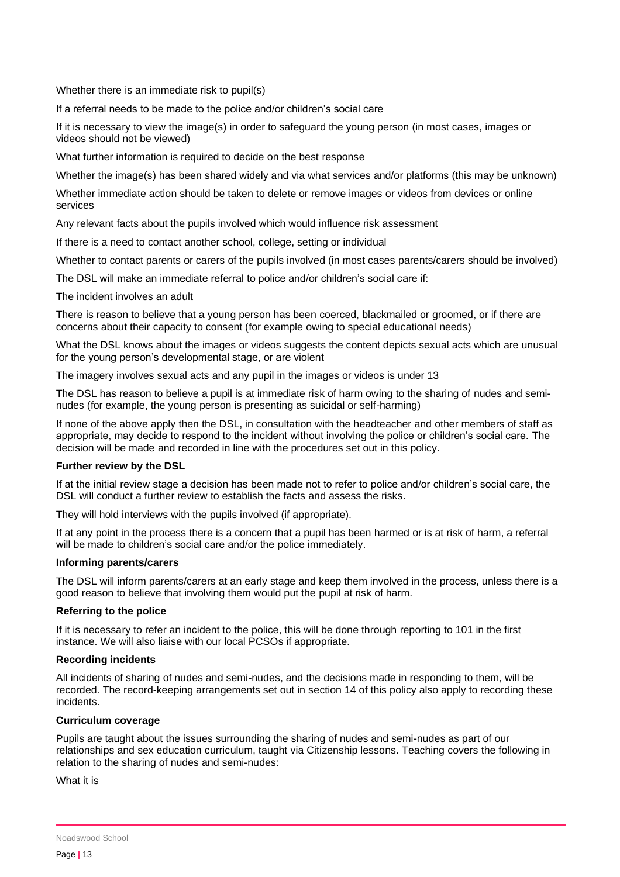Whether there is an immediate risk to pupil(s)

If a referral needs to be made to the police and/or children's social care

If it is necessary to view the image(s) in order to safeguard the young person (in most cases, images or videos should not be viewed)

What further information is required to decide on the best response

Whether the image(s) has been shared widely and via what services and/or platforms (this may be unknown)

Whether immediate action should be taken to delete or remove images or videos from devices or online services

Any relevant facts about the pupils involved which would influence risk assessment

If there is a need to contact another school, college, setting or individual

Whether to contact parents or carers of the pupils involved (in most cases parents/carers should be involved)

The DSL will make an immediate referral to police and/or children's social care if:

The incident involves an adult

There is reason to believe that a young person has been coerced, blackmailed or groomed, or if there are concerns about their capacity to consent (for example owing to special educational needs)

What the DSL knows about the images or videos suggests the content depicts sexual acts which are unusual for the young person's developmental stage, or are violent

The imagery involves sexual acts and any pupil in the images or videos is under 13

The DSL has reason to believe a pupil is at immediate risk of harm owing to the sharing of nudes and seminudes (for example, the young person is presenting as suicidal or self-harming)

If none of the above apply then the DSL, in consultation with the headteacher and other members of staff as appropriate, may decide to respond to the incident without involving the police or children's social care. The decision will be made and recorded in line with the procedures set out in this policy.

#### **Further review by the DSL**

If at the initial review stage a decision has been made not to refer to police and/or children's social care, the DSL will conduct a further review to establish the facts and assess the risks.

They will hold interviews with the pupils involved (if appropriate).

If at any point in the process there is a concern that a pupil has been harmed or is at risk of harm, a referral will be made to children's social care and/or the police immediately.

#### **Informing parents/carers**

The DSL will inform parents/carers at an early stage and keep them involved in the process, unless there is a good reason to believe that involving them would put the pupil at risk of harm.

### **Referring to the police**

If it is necessary to refer an incident to the police, this will be done through reporting to 101 in the first instance. We will also liaise with our local PCSOs if appropriate.

#### **Recording incidents**

All incidents of sharing of nudes and semi-nudes, and the decisions made in responding to them, will be recorded. The record-keeping arrangements set out in section 14 of this policy also apply to recording these incidents.

#### **Curriculum coverage**

Pupils are taught about the issues surrounding the sharing of nudes and semi-nudes as part of our relationships and sex education curriculum, taught via Citizenship lessons. Teaching covers the following in relation to the sharing of nudes and semi-nudes:

What it is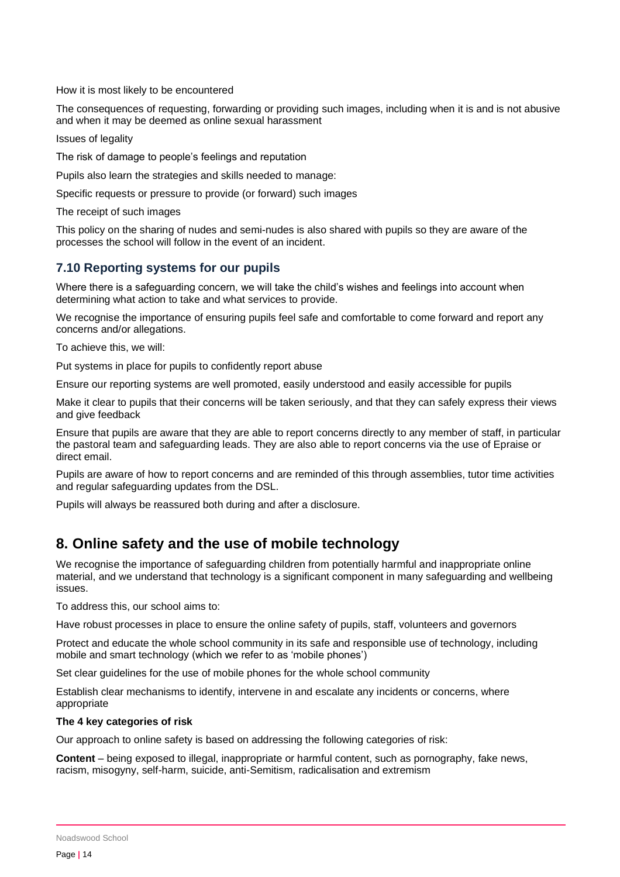How it is most likely to be encountered

The consequences of requesting, forwarding or providing such images, including when it is and is not abusive and when it may be deemed as online sexual harassment

Issues of legality

The risk of damage to people's feelings and reputation

Pupils also learn the strategies and skills needed to manage:

Specific requests or pressure to provide (or forward) such images

The receipt of such images

This policy on the sharing of nudes and semi-nudes is also shared with pupils so they are aware of the processes the school will follow in the event of an incident.

# **7.10 Reporting systems for our pupils**

Where there is a safeguarding concern, we will take the child's wishes and feelings into account when determining what action to take and what services to provide.

We recognise the importance of ensuring pupils feel safe and comfortable to come forward and report any concerns and/or allegations.

To achieve this, we will:

Put systems in place for pupils to confidently report abuse

Ensure our reporting systems are well promoted, easily understood and easily accessible for pupils

Make it clear to pupils that their concerns will be taken seriously, and that they can safely express their views and give feedback

Ensure that pupils are aware that they are able to report concerns directly to any member of staff, in particular the pastoral team and safeguarding leads. They are also able to report concerns via the use of Epraise or direct email.

Pupils are aware of how to report concerns and are reminded of this through assemblies, tutor time activities and regular safeguarding updates from the DSL.

Pupils will always be reassured both during and after a disclosure.

# <span id="page-13-0"></span>**8. Online safety and the use of mobile technology**

We recognise the importance of safeguarding children from potentially harmful and inappropriate online material, and we understand that technology is a significant component in many safeguarding and wellbeing issues.

To address this, our school aims to:

Have robust processes in place to ensure the online safety of pupils, staff, volunteers and governors

Protect and educate the whole school community in its safe and responsible use of technology, including mobile and smart technology (which we refer to as 'mobile phones')

Set clear guidelines for the use of mobile phones for the whole school community

Establish clear mechanisms to identify, intervene in and escalate any incidents or concerns, where appropriate

### **The 4 key categories of risk**

Our approach to online safety is based on addressing the following categories of risk:

**Content** – being exposed to illegal, inappropriate or harmful content, such as pornography, fake news, racism, misogyny, self-harm, suicide, anti-Semitism, radicalisation and extremism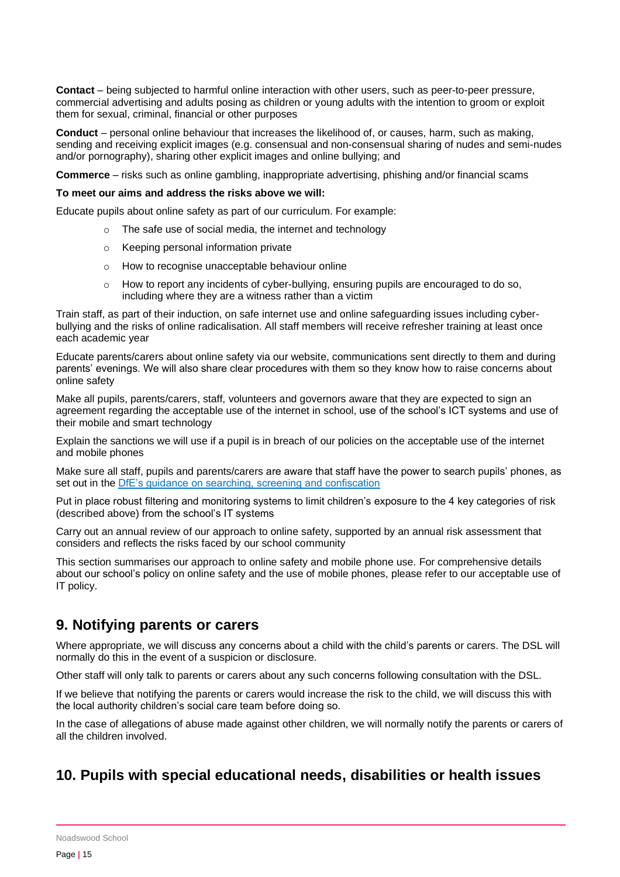**Contact** – being subjected to harmful online interaction with other users, such as peer-to-peer pressure, commercial advertising and adults posing as children or young adults with the intention to groom or exploit them for sexual, criminal, financial or other purposes

**Conduct** – personal online behaviour that increases the likelihood of, or causes, harm, such as making, sending and receiving explicit images (e.g. consensual and non-consensual sharing of nudes and semi-nudes and/or pornography), sharing other explicit images and online bullying; and

**Commerce** – risks such as online gambling, inappropriate advertising, phishing and/or financial scams

#### **To meet our aims and address the risks above we will:**

Educate pupils about online safety as part of our curriculum. For example:

- The safe use of social media, the internet and technology
- o Keeping personal information private
- o How to recognise unacceptable behaviour online
- o How to report any incidents of cyber-bullying, ensuring pupils are encouraged to do so, including where they are a witness rather than a victim

Train staff, as part of their induction, on safe internet use and online safeguarding issues including cyberbullying and the risks of online radicalisation. All staff members will receive refresher training at least once each academic year

Educate parents/carers about online safety via our website, communications sent directly to them and during parents' evenings. We will also share clear procedures with them so they know how to raise concerns about online safety

Make all pupils, parents/carers, staff, volunteers and governors aware that they are expected to sign an agreement regarding the acceptable use of the internet in school, use of the school's ICT systems and use of their mobile and smart technology

Explain the sanctions we will use if a pupil is in breach of our policies on the acceptable use of the internet and mobile phones

Make sure all staff, pupils and parents/carers are aware that staff have the power to search pupils' phones, as set out in the DfE's quidance on searching, screening and confiscation

Put in place robust filtering and monitoring systems to limit children's exposure to the 4 key categories of risk (described above) from the school's IT systems

Carry out an annual review of our approach to online safety, supported by an annual risk assessment that considers and reflects the risks faced by our school community

This section summarises our approach to online safety and mobile phone use. For comprehensive details about our school's policy on online safety and the use of mobile phones, please refer to our acceptable use of IT policy.

# <span id="page-14-0"></span>**9. Notifying parents or carers**

Where appropriate, we will discuss any concerns about a child with the child's parents or carers. The DSL will normally do this in the event of a suspicion or disclosure.

Other staff will only talk to parents or carers about any such concerns following consultation with the DSL.

If we believe that notifying the parents or carers would increase the risk to the child, we will discuss this with the local authority children's social care team before doing so.

In the case of allegations of abuse made against other children, we will normally notify the parents or carers of all the children involved.

# <span id="page-14-1"></span>**10. Pupils with special educational needs, disabilities or health issues**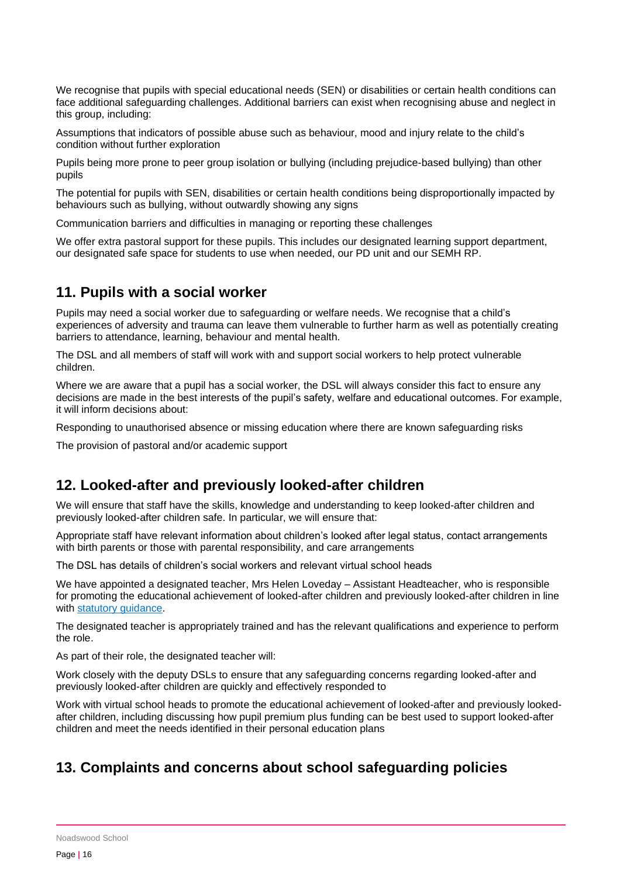We recognise that pupils with special educational needs (SEN) or disabilities or certain health conditions can face additional safeguarding challenges. Additional barriers can exist when recognising abuse and neglect in this group, including:

Assumptions that indicators of possible abuse such as behaviour, mood and injury relate to the child's condition without further exploration

Pupils being more prone to peer group isolation or bullying (including prejudice-based bullying) than other pupils

The potential for pupils with SEN, disabilities or certain health conditions being disproportionally impacted by behaviours such as bullying, without outwardly showing any signs

Communication barriers and difficulties in managing or reporting these challenges

We offer extra pastoral support for these pupils. This includes our designated learning support department, our designated safe space for students to use when needed, our PD unit and our SEMH RP.

# <span id="page-15-0"></span>**11. Pupils with a social worker**

Pupils may need a social worker due to safeguarding or welfare needs. We recognise that a child's experiences of adversity and trauma can leave them vulnerable to further harm as well as potentially creating barriers to attendance, learning, behaviour and mental health.

The DSL and all members of staff will work with and support social workers to help protect vulnerable children.

Where we are aware that a pupil has a social worker, the DSL will always consider this fact to ensure any decisions are made in the best interests of the pupil's safety, welfare and educational outcomes. For example, it will inform decisions about:

Responding to unauthorised absence or missing education where there are known safeguarding risks

The provision of pastoral and/or academic support

# <span id="page-15-1"></span>**12. Looked-after and previously looked-after children**

We will ensure that staff have the skills, knowledge and understanding to keep looked-after children and previously looked-after children safe. In particular, we will ensure that:

Appropriate staff have relevant information about children's looked after legal status, contact arrangements with birth parents or those with parental responsibility, and care arrangements

The DSL has details of children's social workers and relevant virtual school heads

We have appointed a designated teacher, Mrs Helen Loveday – Assistant Headteacher, who is responsible for promoting the educational achievement of looked-after children and previously looked-after children in line with [statutory guidance.](https://www.gov.uk/government/publications/designated-teacher-for-looked-after-children)

The designated teacher is appropriately trained and has the relevant qualifications and experience to perform the role.

As part of their role, the designated teacher will:

Work closely with the deputy DSLs to ensure that any safeguarding concerns regarding looked-after and previously looked-after children are quickly and effectively responded to

Work with virtual school heads to promote the educational achievement of looked-after and previously lookedafter children, including discussing how pupil premium plus funding can be best used to support looked-after children and meet the needs identified in their personal education plans

# <span id="page-15-2"></span>**13. Complaints and concerns about school safeguarding policies**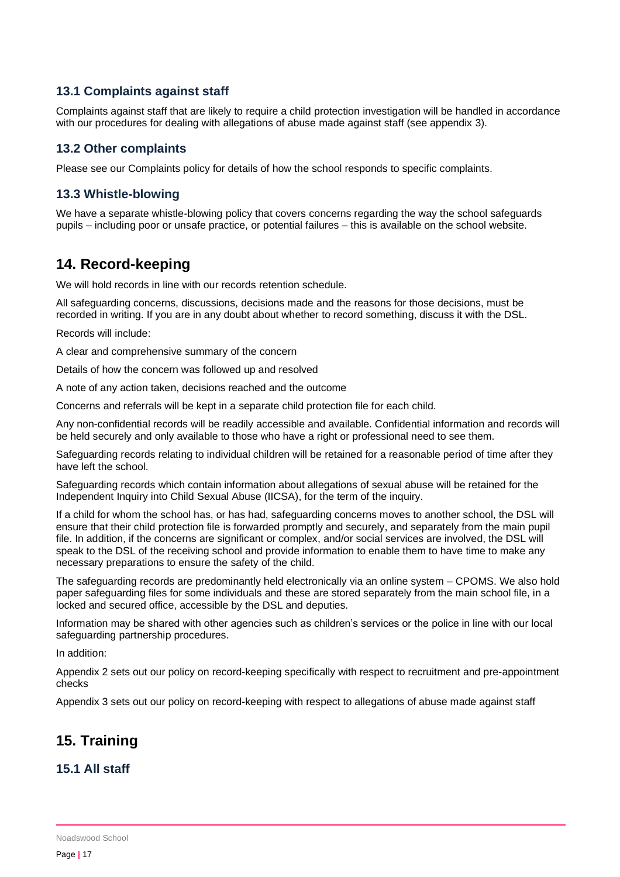# **13.1 Complaints against staff**

Complaints against staff that are likely to require a child protection investigation will be handled in accordance with our procedures for dealing with allegations of abuse made against staff (see appendix 3).

# **13.2 Other complaints**

Please see our Complaints policy for details of how the school responds to specific complaints.

## **13.3 Whistle-blowing**

We have a separate whistle-blowing policy that covers concerns regarding the way the school safeguards pupils – including poor or unsafe practice, or potential failures – this is available on the school website.

# <span id="page-16-0"></span>**14. Record-keeping**

We will hold records in line with our records retention schedule.

All safeguarding concerns, discussions, decisions made and the reasons for those decisions, must be recorded in writing. If you are in any doubt about whether to record something, discuss it with the DSL.

Records will include:

A clear and comprehensive summary of the concern

Details of how the concern was followed up and resolved

A note of any action taken, decisions reached and the outcome

Concerns and referrals will be kept in a separate child protection file for each child.

Any non-confidential records will be readily accessible and available. Confidential information and records will be held securely and only available to those who have a right or professional need to see them.

Safeguarding records relating to individual children will be retained for a reasonable period of time after they have left the school.

Safeguarding records which contain information about allegations of sexual abuse will be retained for the Independent Inquiry into Child Sexual Abuse (IICSA), for the term of the inquiry.

If a child for whom the school has, or has had, safeguarding concerns moves to another school, the DSL will ensure that their child protection file is forwarded promptly and securely, and separately from the main pupil file. In addition, if the concerns are significant or complex, and/or social services are involved, the DSL will speak to the DSL of the receiving school and provide information to enable them to have time to make any necessary preparations to ensure the safety of the child.

The safeguarding records are predominantly held electronically via an online system – CPOMS. We also hold paper safeguarding files for some individuals and these are stored separately from the main school file, in a locked and secured office, accessible by the DSL and deputies.

Information may be shared with other agencies such as children's services or the police in line with our local safeguarding partnership procedures.

In addition:

Appendix 2 sets out our policy on record-keeping specifically with respect to recruitment and pre-appointment checks

Appendix 3 sets out our policy on record-keeping with respect to allegations of abuse made against staff

# <span id="page-16-1"></span>**15. Training**

## **15.1 All staff**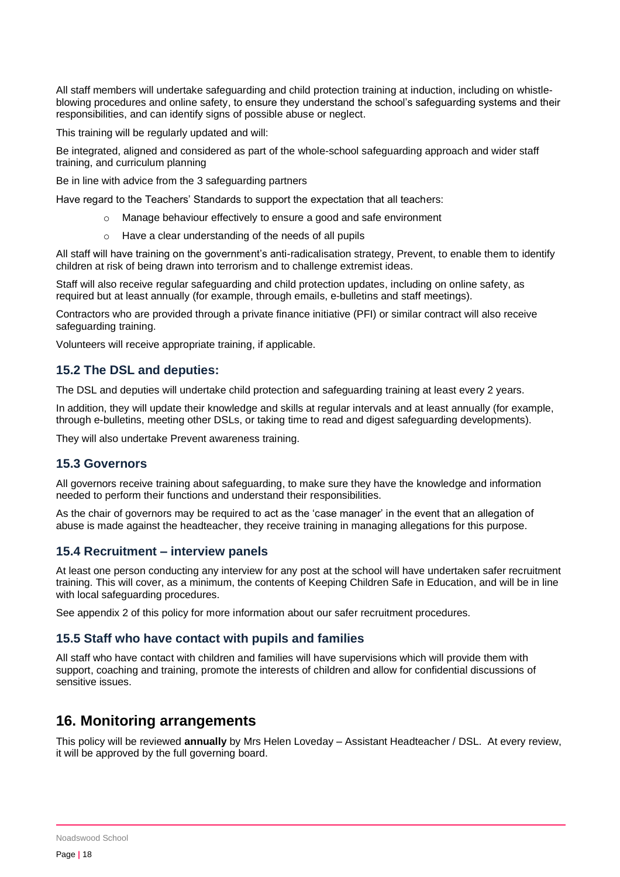All staff members will undertake safeguarding and child protection training at induction, including on whistleblowing procedures and online safety, to ensure they understand the school's safeguarding systems and their responsibilities, and can identify signs of possible abuse or neglect.

This training will be regularly updated and will:

Be integrated, aligned and considered as part of the whole-school safeguarding approach and wider staff training, and curriculum planning

Be in line with advice from the 3 safeguarding partners

Have regard to the Teachers' Standards to support the expectation that all teachers:

- o Manage behaviour effectively to ensure a good and safe environment
- o Have a clear understanding of the needs of all pupils

All staff will have training on the government's anti-radicalisation strategy, Prevent, to enable them to identify children at risk of being drawn into terrorism and to challenge extremist ideas.

Staff will also receive regular safeguarding and child protection updates, including on online safety, as required but at least annually (for example, through emails, e-bulletins and staff meetings).

Contractors who are provided through a private finance initiative (PFI) or similar contract will also receive safeguarding training.

Volunteers will receive appropriate training, if applicable.

## **15.2 The DSL and deputies:**

The DSL and deputies will undertake child protection and safeguarding training at least every 2 years.

In addition, they will update their knowledge and skills at regular intervals and at least annually (for example, through e-bulletins, meeting other DSLs, or taking time to read and digest safeguarding developments).

They will also undertake Prevent awareness training.

## **15.3 Governors**

All governors receive training about safeguarding, to make sure they have the knowledge and information needed to perform their functions and understand their responsibilities.

As the chair of governors may be required to act as the 'case manager' in the event that an allegation of abuse is made against the headteacher, they receive training in managing allegations for this purpose.

## **15.4 Recruitment – interview panels**

At least one person conducting any interview for any post at the school will have undertaken safer recruitment training. This will cover, as a minimum, the contents of Keeping Children Safe in Education, and will be in line with local safeguarding procedures.

See appendix 2 of this policy for more information about our safer recruitment procedures.

## **15.5 Staff who have contact with pupils and families**

All staff who have contact with children and families will have supervisions which will provide them with support, coaching and training, promote the interests of children and allow for confidential discussions of sensitive issues.

# <span id="page-17-0"></span>**16. Monitoring arrangements**

This policy will be reviewed **annually** by Mrs Helen Loveday – Assistant Headteacher / DSL. At every review, it will be approved by the full governing board.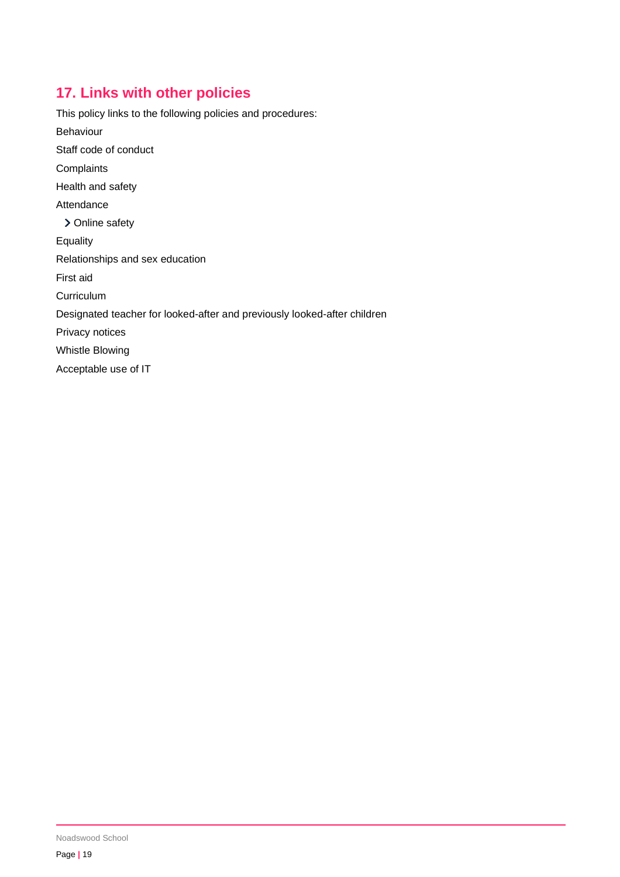# <span id="page-18-0"></span>**17. Links with other policies**

This policy links to the following policies and procedures: Behaviour Staff code of conduct **Complaints** Health and safety Attendance > Online safety **Equality** Relationships and sex education First aid **Curriculum** Designated teacher for looked-after and previously looked-after children Privacy notices Whistle Blowing Acceptable use of IT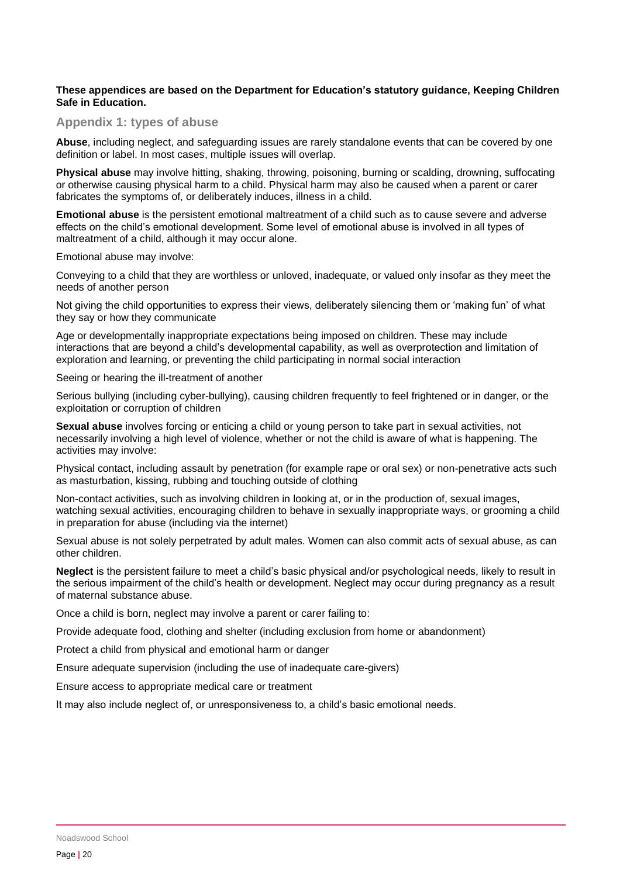#### **These appendices are based on the Department for Education's statutory guidance, Keeping Children Safe in Education.**

### <span id="page-19-0"></span>**Appendix 1: types of abuse**

**Abuse**, including neglect, and safeguarding issues are rarely standalone events that can be covered by one definition or label. In most cases, multiple issues will overlap.

**Physical abuse** may involve hitting, shaking, throwing, poisoning, burning or scalding, drowning, suffocating or otherwise causing physical harm to a child. Physical harm may also be caused when a parent or carer fabricates the symptoms of, or deliberately induces, illness in a child.

**Emotional abuse** is the persistent emotional maltreatment of a child such as to cause severe and adverse effects on the child's emotional development. Some level of emotional abuse is involved in all types of maltreatment of a child, although it may occur alone.

Emotional abuse may involve:

Conveying to a child that they are worthless or unloved, inadequate, or valued only insofar as they meet the needs of another person

Not giving the child opportunities to express their views, deliberately silencing them or 'making fun' of what they say or how they communicate

Age or developmentally inappropriate expectations being imposed on children. These may include interactions that are beyond a child's developmental capability, as well as overprotection and limitation of exploration and learning, or preventing the child participating in normal social interaction

Seeing or hearing the ill-treatment of another

Serious bullying (including cyber-bullying), causing children frequently to feel frightened or in danger, or the exploitation or corruption of children

**Sexual abuse** involves forcing or enticing a child or young person to take part in sexual activities, not necessarily involving a high level of violence, whether or not the child is aware of what is happening. The activities may involve:

Physical contact, including assault by penetration (for example rape or oral sex) or non-penetrative acts such as masturbation, kissing, rubbing and touching outside of clothing

Non-contact activities, such as involving children in looking at, or in the production of, sexual images, watching sexual activities, encouraging children to behave in sexually inappropriate ways, or grooming a child in preparation for abuse (including via the internet)

Sexual abuse is not solely perpetrated by adult males. Women can also commit acts of sexual abuse, as can other children.

**Neglect** is the persistent failure to meet a child's basic physical and/or psychological needs, likely to result in the serious impairment of the child's health or development. Neglect may occur during pregnancy as a result of maternal substance abuse.

Once a child is born, neglect may involve a parent or carer failing to:

Provide adequate food, clothing and shelter (including exclusion from home or abandonment)

Protect a child from physical and emotional harm or danger

Ensure adequate supervision (including the use of inadequate care-givers)

Ensure access to appropriate medical care or treatment

It may also include neglect of, or unresponsiveness to, a child's basic emotional needs.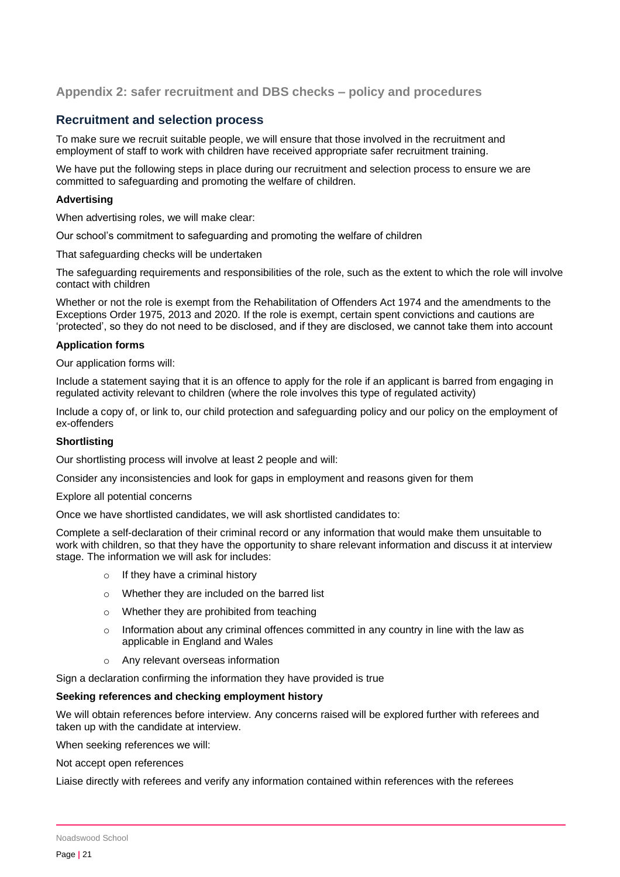## <span id="page-20-0"></span>**Appendix 2: safer recruitment and DBS checks – policy and procedures**

## **Recruitment and selection process**

To make sure we recruit suitable people, we will ensure that those involved in the recruitment and employment of staff to work with children have received appropriate safer recruitment training.

We have put the following steps in place during our recruitment and selection process to ensure we are committed to safeguarding and promoting the welfare of children.

#### **Advertising**

When advertising roles, we will make clear:

Our school's commitment to safeguarding and promoting the welfare of children

That safeguarding checks will be undertaken

The safeguarding requirements and responsibilities of the role, such as the extent to which the role will involve contact with children

Whether or not the role is exempt from the Rehabilitation of Offenders Act 1974 and the amendments to the Exceptions Order 1975, 2013 and 2020. If the role is exempt, certain spent convictions and cautions are 'protected', so they do not need to be disclosed, and if they are disclosed, we cannot take them into account

#### **Application forms**

Our application forms will:

Include a statement saying that it is an offence to apply for the role if an applicant is barred from engaging in regulated activity relevant to children (where the role involves this type of regulated activity)

Include a copy of, or link to, our child protection and safeguarding policy and our policy on the employment of ex-offenders

#### **Shortlisting**

Our shortlisting process will involve at least 2 people and will:

Consider any inconsistencies and look for gaps in employment and reasons given for them

Explore all potential concerns

Once we have shortlisted candidates, we will ask shortlisted candidates to:

Complete a self-declaration of their criminal record or any information that would make them unsuitable to work with children, so that they have the opportunity to share relevant information and discuss it at interview stage. The information we will ask for includes:

- o If they have a criminal history
- o Whether they are included on the barred list
- o Whether they are prohibited from teaching
- o Information about any criminal offences committed in any country in line with the law as applicable in England and Wales
- o Any relevant overseas information

Sign a declaration confirming the information they have provided is true

#### **Seeking references and checking employment history**

We will obtain references before interview. Any concerns raised will be explored further with referees and taken up with the candidate at interview.

When seeking references we will:

Not accept open references

Liaise directly with referees and verify any information contained within references with the referees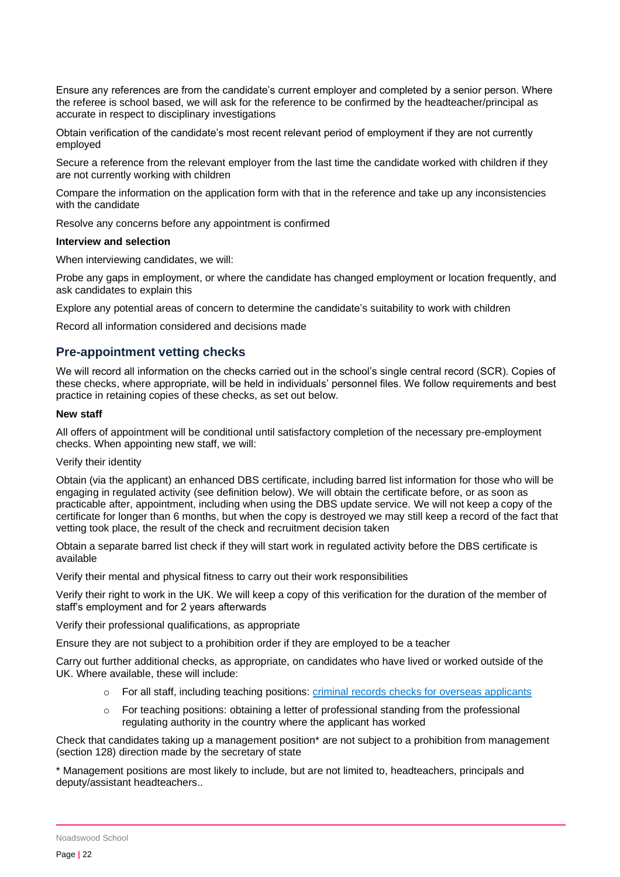Ensure any references are from the candidate's current employer and completed by a senior person. Where the referee is school based, we will ask for the reference to be confirmed by the headteacher/principal as accurate in respect to disciplinary investigations

Obtain verification of the candidate's most recent relevant period of employment if they are not currently employed

Secure a reference from the relevant employer from the last time the candidate worked with children if they are not currently working with children

Compare the information on the application form with that in the reference and take up any inconsistencies with the candidate

Resolve any concerns before any appointment is confirmed

#### **Interview and selection**

When interviewing candidates, we will:

Probe any gaps in employment, or where the candidate has changed employment or location frequently, and ask candidates to explain this

Explore any potential areas of concern to determine the candidate's suitability to work with children

Record all information considered and decisions made

## **Pre-appointment vetting checks**

We will record all information on the checks carried out in the school's single central record (SCR). Copies of these checks, where appropriate, will be held in individuals' personnel files. We follow requirements and best practice in retaining copies of these checks, as set out below.

#### **New staff**

All offers of appointment will be conditional until satisfactory completion of the necessary pre-employment checks. When appointing new staff, we will:

#### Verify their identity

Obtain (via the applicant) an enhanced DBS certificate, including barred list information for those who will be engaging in regulated activity (see definition below). We will obtain the certificate before, or as soon as practicable after, appointment, including when using the DBS update service. We will not keep a copy of the certificate for longer than 6 months, but when the copy is destroyed we may still keep a record of the fact that vetting took place, the result of the check and recruitment decision taken

Obtain a separate barred list check if they will start work in regulated activity before the DBS certificate is available

Verify their mental and physical fitness to carry out their work responsibilities

Verify their right to work in the UK. We will keep a copy of this verification for the duration of the member of staff's employment and for 2 years afterwards

Verify their professional qualifications, as appropriate

Ensure they are not subject to a prohibition order if they are employed to be a teacher

Carry out further additional checks, as appropriate, on candidates who have lived or worked outside of the UK. Where available, these will include:

- $\circ$  For all staff, including teaching positions: [criminal records checks for overseas applicants](https://www.gov.uk/government/publications/criminal-records-checks-for-overseas-applicants)
- $\circ$  For teaching positions: obtaining a letter of professional standing from the professional regulating authority in the country where the applicant has worked

Check that candidates taking up a management position\* are not subject to a prohibition from management (section 128) direction made by the secretary of state

\* Management positions are most likely to include, but are not limited to, headteachers, principals and deputy/assistant headteachers..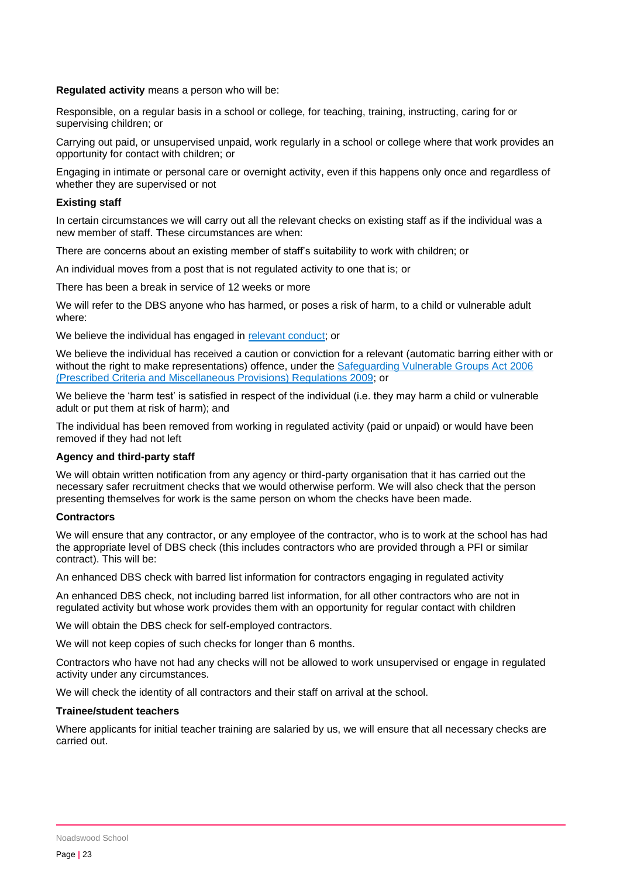**Regulated activity** means a person who will be:

Responsible, on a regular basis in a school or college, for teaching, training, instructing, caring for or supervising children; or

Carrying out paid, or unsupervised unpaid, work regularly in a school or college where that work provides an opportunity for contact with children; or

Engaging in intimate or personal care or overnight activity, even if this happens only once and regardless of whether they are supervised or not

#### **Existing staff**

In certain circumstances we will carry out all the relevant checks on existing staff as if the individual was a new member of staff. These circumstances are when:

There are concerns about an existing member of staff's suitability to work with children; or

An individual moves from a post that is not regulated activity to one that is; or

There has been a break in service of 12 weeks or more

We will refer to the DBS anyone who has harmed, or poses a risk of harm, to a child or vulnerable adult where:

We believe the individual has engaged in [relevant conduct;](https://www.gov.uk/guidance/making-barring-referrals-to-the-dbs#relevant-conduct-in-relation-to-children) or

We believe the individual has received a caution or conviction for a relevant (automatic barring either with or without the right to make representations) offence, under the Safeguarding Vulnerable Groups Act 2006 [\(Prescribed Criteria and Miscellaneous Provisions\) Regulations 2009;](http://www.legislation.gov.uk/uksi/2009/37/contents/made) or

We believe the 'harm test' is satisfied in respect of the individual (i.e. they may harm a child or vulnerable adult or put them at risk of harm); and

The individual has been removed from working in regulated activity (paid or unpaid) or would have been removed if they had not left

### **Agency and third-party staff**

We will obtain written notification from any agency or third-party organisation that it has carried out the necessary safer recruitment checks that we would otherwise perform. We will also check that the person presenting themselves for work is the same person on whom the checks have been made.

#### **Contractors**

We will ensure that any contractor, or any employee of the contractor, who is to work at the school has had the appropriate level of DBS check (this includes contractors who are provided through a PFI or similar contract). This will be:

An enhanced DBS check with barred list information for contractors engaging in regulated activity

An enhanced DBS check, not including barred list information, for all other contractors who are not in regulated activity but whose work provides them with an opportunity for regular contact with children

We will obtain the DBS check for self-employed contractors.

We will not keep copies of such checks for longer than 6 months.

Contractors who have not had any checks will not be allowed to work unsupervised or engage in regulated activity under any circumstances.

We will check the identity of all contractors and their staff on arrival at the school.

### **Trainee/student teachers**

Where applicants for initial teacher training are salaried by us, we will ensure that all necessary checks are carried out.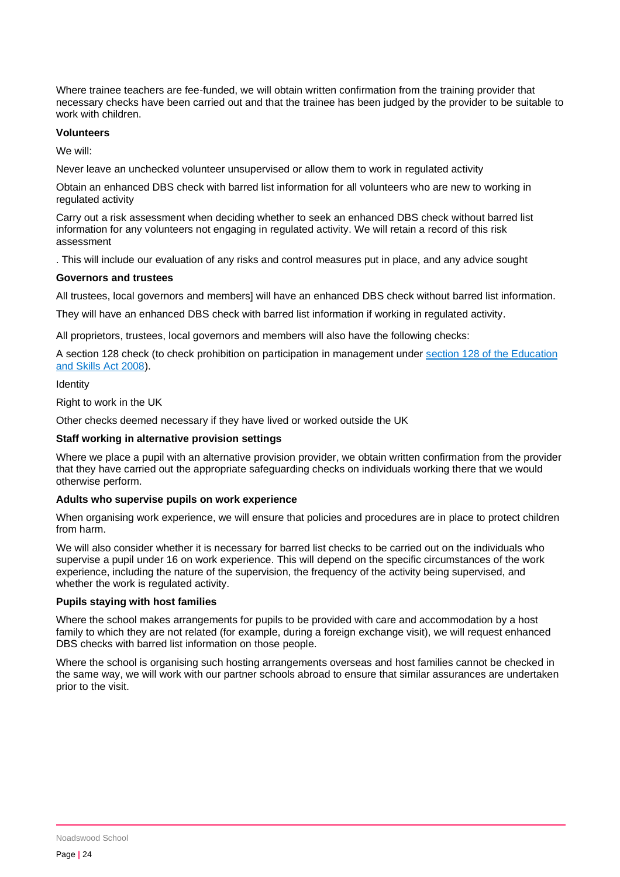Where trainee teachers are fee-funded, we will obtain written confirmation from the training provider that necessary checks have been carried out and that the trainee has been judged by the provider to be suitable to work with children.

#### **Volunteers**

We will:

Never leave an unchecked volunteer unsupervised or allow them to work in regulated activity

Obtain an enhanced DBS check with barred list information for all volunteers who are new to working in regulated activity

Carry out a risk assessment when deciding whether to seek an enhanced DBS check without barred list information for any volunteers not engaging in regulated activity. We will retain a record of this risk assessment

. This will include our evaluation of any risks and control measures put in place, and any advice sought

#### **Governors and trustees**

All trustees, local governors and members] will have an enhanced DBS check without barred list information.

They will have an enhanced DBS check with barred list information if working in regulated activity.

All proprietors, trustees, local governors and members will also have the following checks:

A section 128 check (to check prohibition on participation in management under [section 128 of the Education](https://www.legislation.gov.uk/ukpga/2008/25/section/128)  [and Skills Act 2008\)](https://www.legislation.gov.uk/ukpga/2008/25/section/128).

#### Identity

Right to work in the UK

Other checks deemed necessary if they have lived or worked outside the UK

### **Staff working in alternative provision settings**

Where we place a pupil with an alternative provision provider, we obtain written confirmation from the provider that they have carried out the appropriate safeguarding checks on individuals working there that we would otherwise perform.

### **Adults who supervise pupils on work experience**

When organising work experience, we will ensure that policies and procedures are in place to protect children from harm.

We will also consider whether it is necessary for barred list checks to be carried out on the individuals who supervise a pupil under 16 on work experience. This will depend on the specific circumstances of the work experience, including the nature of the supervision, the frequency of the activity being supervised, and whether the work is regulated activity.

### **Pupils staying with host families**

Where the school makes arrangements for pupils to be provided with care and accommodation by a host family to which they are not related (for example, during a foreign exchange visit), we will request enhanced DBS checks with barred list information on those people.

Where the school is organising such hosting arrangements overseas and host families cannot be checked in the same way, we will work with our partner schools abroad to ensure that similar assurances are undertaken prior to the visit.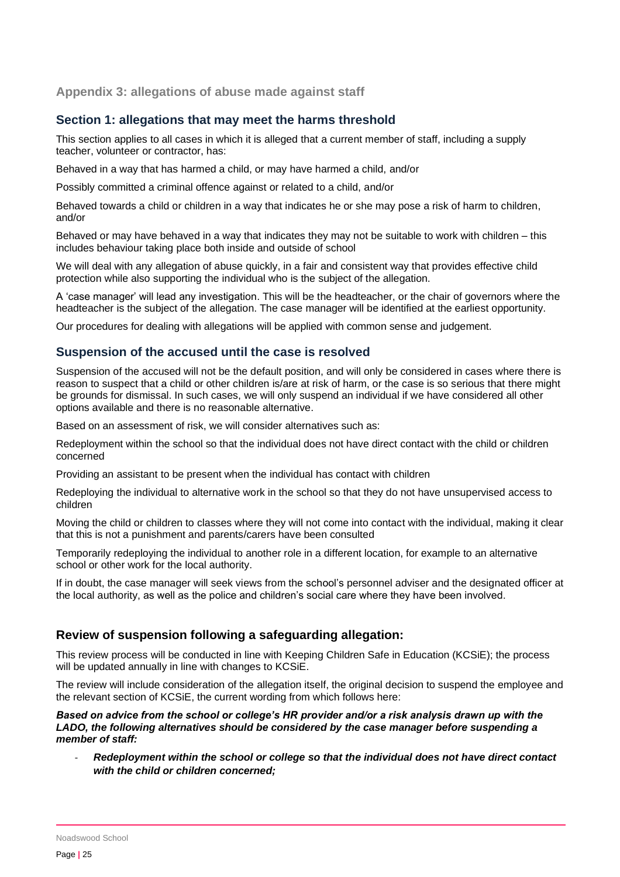## <span id="page-24-0"></span>**Appendix 3: allegations of abuse made against staff**

## **Section 1: allegations that may meet the harms threshold**

This section applies to all cases in which it is alleged that a current member of staff, including a supply teacher, volunteer or contractor, has:

Behaved in a way that has harmed a child, or may have harmed a child, and/or

Possibly committed a criminal offence against or related to a child, and/or

Behaved towards a child or children in a way that indicates he or she may pose a risk of harm to children, and/or

Behaved or may have behaved in a way that indicates they may not be suitable to work with children – this includes behaviour taking place both inside and outside of school

We will deal with any allegation of abuse quickly, in a fair and consistent way that provides effective child protection while also supporting the individual who is the subject of the allegation.

A 'case manager' will lead any investigation. This will be the headteacher, or the chair of governors where the headteacher is the subject of the allegation. The case manager will be identified at the earliest opportunity.

Our procedures for dealing with allegations will be applied with common sense and judgement.

## **Suspension of the accused until the case is resolved**

Suspension of the accused will not be the default position, and will only be considered in cases where there is reason to suspect that a child or other children is/are at risk of harm, or the case is so serious that there might be grounds for dismissal. In such cases, we will only suspend an individual if we have considered all other options available and there is no reasonable alternative.

Based on an assessment of risk, we will consider alternatives such as:

Redeployment within the school so that the individual does not have direct contact with the child or children concerned

Providing an assistant to be present when the individual has contact with children

Redeploying the individual to alternative work in the school so that they do not have unsupervised access to children

Moving the child or children to classes where they will not come into contact with the individual, making it clear that this is not a punishment and parents/carers have been consulted

Temporarily redeploying the individual to another role in a different location, for example to an alternative school or other work for the local authority.

If in doubt, the case manager will seek views from the school's personnel adviser and the designated officer at the local authority, as well as the police and children's social care where they have been involved.

## **Review of suspension following a safeguarding allegation:**

This review process will be conducted in line with Keeping Children Safe in Education (KCSiE); the process will be updated annually in line with changes to KCSiE.

The review will include consideration of the allegation itself, the original decision to suspend the employee and the relevant section of KCSiE, the current wording from which follows here:

#### *Based on advice from the school or college's HR provider and/or a risk analysis drawn up with the LADO, the following alternatives should be considered by the case manager before suspending a member of staff:*

- *Redeployment within the school or college so that the individual does not have direct contact with the child or children concerned;*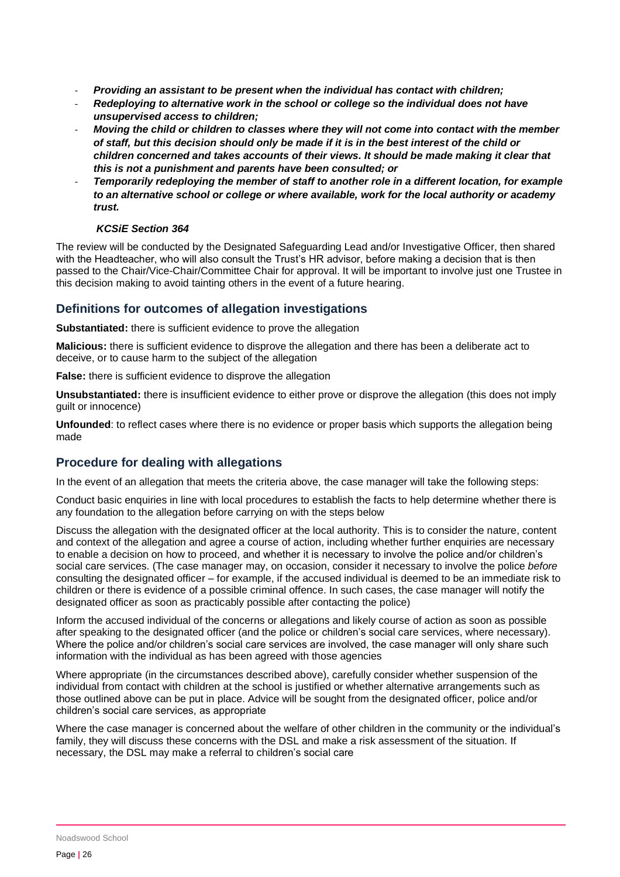- *Providing an assistant to be present when the individual has contact with children;*
- *Redeploying to alternative work in the school or college so the individual does not have unsupervised access to children;*
- *Moving the child or children to classes where they will not come into contact with the member of staff, but this decision should only be made if it is in the best interest of the child or children concerned and takes accounts of their views. It should be made making it clear that this is not a punishment and parents have been consulted; or*
- *Temporarily redeploying the member of staff to another role in a different location, for example to an alternative school or college or where available, work for the local authority or academy trust.*

#### *KCSiE Section 364*

The review will be conducted by the Designated Safeguarding Lead and/or Investigative Officer, then shared with the Headteacher, who will also consult the Trust's HR advisor, before making a decision that is then passed to the Chair/Vice-Chair/Committee Chair for approval. It will be important to involve just one Trustee in this decision making to avoid tainting others in the event of a future hearing.

## **Definitions for outcomes of allegation investigations**

**Substantiated:** there is sufficient evidence to prove the allegation

**Malicious:** there is sufficient evidence to disprove the allegation and there has been a deliberate act to deceive, or to cause harm to the subject of the allegation

**False:** there is sufficient evidence to disprove the allegation

**Unsubstantiated:** there is insufficient evidence to either prove or disprove the allegation (this does not imply guilt or innocence)

**Unfounded**: to reflect cases where there is no evidence or proper basis which supports the allegation being made

## **Procedure for dealing with allegations**

In the event of an allegation that meets the criteria above, the case manager will take the following steps:

Conduct basic enquiries in line with local procedures to establish the facts to help determine whether there is any foundation to the allegation before carrying on with the steps below

Discuss the allegation with the designated officer at the local authority. This is to consider the nature, content and context of the allegation and agree a course of action, including whether further enquiries are necessary to enable a decision on how to proceed, and whether it is necessary to involve the police and/or children's social care services. (The case manager may, on occasion, consider it necessary to involve the police *before* consulting the designated officer – for example, if the accused individual is deemed to be an immediate risk to children or there is evidence of a possible criminal offence. In such cases, the case manager will notify the designated officer as soon as practicably possible after contacting the police)

Inform the accused individual of the concerns or allegations and likely course of action as soon as possible after speaking to the designated officer (and the police or children's social care services, where necessary). Where the police and/or children's social care services are involved, the case manager will only share such information with the individual as has been agreed with those agencies

Where appropriate (in the circumstances described above), carefully consider whether suspension of the individual from contact with children at the school is justified or whether alternative arrangements such as those outlined above can be put in place. Advice will be sought from the designated officer, police and/or children's social care services, as appropriate

Where the case manager is concerned about the welfare of other children in the community or the individual's family, they will discuss these concerns with the DSL and make a risk assessment of the situation. If necessary, the DSL may make a referral to children's social care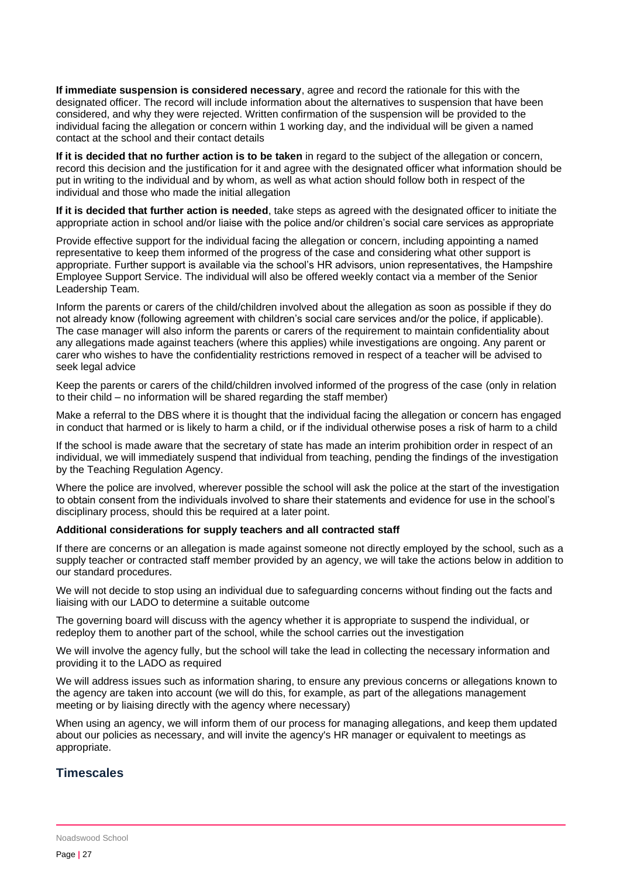**If immediate suspension is considered necessary**, agree and record the rationale for this with the designated officer. The record will include information about the alternatives to suspension that have been considered, and why they were rejected. Written confirmation of the suspension will be provided to the individual facing the allegation or concern within 1 working day, and the individual will be given a named contact at the school and their contact details

**If it is decided that no further action is to be taken** in regard to the subject of the allegation or concern, record this decision and the justification for it and agree with the designated officer what information should be put in writing to the individual and by whom, as well as what action should follow both in respect of the individual and those who made the initial allegation

**If it is decided that further action is needed**, take steps as agreed with the designated officer to initiate the appropriate action in school and/or liaise with the police and/or children's social care services as appropriate

Provide effective support for the individual facing the allegation or concern, including appointing a named representative to keep them informed of the progress of the case and considering what other support is appropriate. Further support is available via the school's HR advisors, union representatives, the Hampshire Employee Support Service. The individual will also be offered weekly contact via a member of the Senior Leadership Team.

Inform the parents or carers of the child/children involved about the allegation as soon as possible if they do not already know (following agreement with children's social care services and/or the police, if applicable). The case manager will also inform the parents or carers of the requirement to maintain confidentiality about any allegations made against teachers (where this applies) while investigations are ongoing. Any parent or carer who wishes to have the confidentiality restrictions removed in respect of a teacher will be advised to seek legal advice

Keep the parents or carers of the child/children involved informed of the progress of the case (only in relation to their child – no information will be shared regarding the staff member)

Make a referral to the DBS where it is thought that the individual facing the allegation or concern has engaged in conduct that harmed or is likely to harm a child, or if the individual otherwise poses a risk of harm to a child

If the school is made aware that the secretary of state has made an interim prohibition order in respect of an individual, we will immediately suspend that individual from teaching, pending the findings of the investigation by the Teaching Regulation Agency.

Where the police are involved, wherever possible the school will ask the police at the start of the investigation to obtain consent from the individuals involved to share their statements and evidence for use in the school's disciplinary process, should this be required at a later point.

### **Additional considerations for supply teachers and all contracted staff**

If there are concerns or an allegation is made against someone not directly employed by the school, such as a supply teacher or contracted staff member provided by an agency, we will take the actions below in addition to our standard procedures.

We will not decide to stop using an individual due to safeguarding concerns without finding out the facts and liaising with our LADO to determine a suitable outcome

The governing board will discuss with the agency whether it is appropriate to suspend the individual, or redeploy them to another part of the school, while the school carries out the investigation

We will involve the agency fully, but the school will take the lead in collecting the necessary information and providing it to the LADO as required

We will address issues such as information sharing, to ensure any previous concerns or allegations known to the agency are taken into account (we will do this, for example, as part of the allegations management meeting or by liaising directly with the agency where necessary)

When using an agency, we will inform them of our process for managing allegations, and keep them updated about our policies as necessary, and will invite the agency's HR manager or equivalent to meetings as appropriate.

# **Timescales**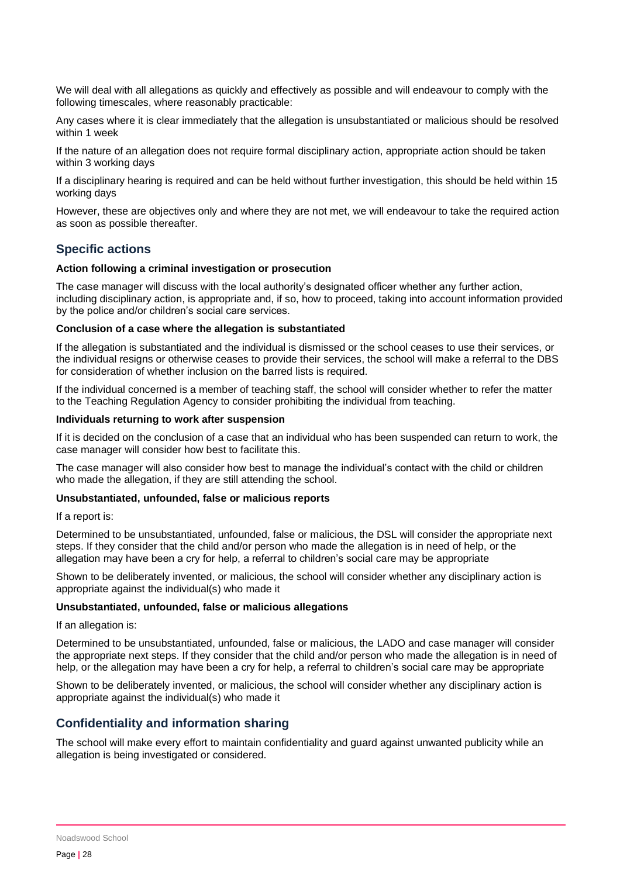We will deal with all allegations as quickly and effectively as possible and will endeavour to comply with the following timescales, where reasonably practicable:

Any cases where it is clear immediately that the allegation is unsubstantiated or malicious should be resolved within 1 week

If the nature of an allegation does not require formal disciplinary action, appropriate action should be taken within 3 working days

If a disciplinary hearing is required and can be held without further investigation, this should be held within 15 working days

However, these are objectives only and where they are not met, we will endeavour to take the required action as soon as possible thereafter.

## **Specific actions**

#### **Action following a criminal investigation or prosecution**

The case manager will discuss with the local authority's designated officer whether any further action, including disciplinary action, is appropriate and, if so, how to proceed, taking into account information provided by the police and/or children's social care services.

#### **Conclusion of a case where the allegation is substantiated**

If the allegation is substantiated and the individual is dismissed or the school ceases to use their services, or the individual resigns or otherwise ceases to provide their services, the school will make a referral to the DBS for consideration of whether inclusion on the barred lists is required.

If the individual concerned is a member of teaching staff, the school will consider whether to refer the matter to the Teaching Regulation Agency to consider prohibiting the individual from teaching.

#### **Individuals returning to work after suspension**

If it is decided on the conclusion of a case that an individual who has been suspended can return to work, the case manager will consider how best to facilitate this.

The case manager will also consider how best to manage the individual's contact with the child or children who made the allegation, if they are still attending the school.

#### **Unsubstantiated, unfounded, false or malicious reports**

If a report is:

Determined to be unsubstantiated, unfounded, false or malicious, the DSL will consider the appropriate next steps. If they consider that the child and/or person who made the allegation is in need of help, or the allegation may have been a cry for help, a referral to children's social care may be appropriate

Shown to be deliberately invented, or malicious, the school will consider whether any disciplinary action is appropriate against the individual(s) who made it

#### **Unsubstantiated, unfounded, false or malicious allegations**

If an allegation is:

Determined to be unsubstantiated, unfounded, false or malicious, the LADO and case manager will consider the appropriate next steps. If they consider that the child and/or person who made the allegation is in need of help, or the allegation may have been a cry for help, a referral to children's social care may be appropriate

Shown to be deliberately invented, or malicious, the school will consider whether any disciplinary action is appropriate against the individual(s) who made it

# **Confidentiality and information sharing**

The school will make every effort to maintain confidentiality and guard against unwanted publicity while an allegation is being investigated or considered.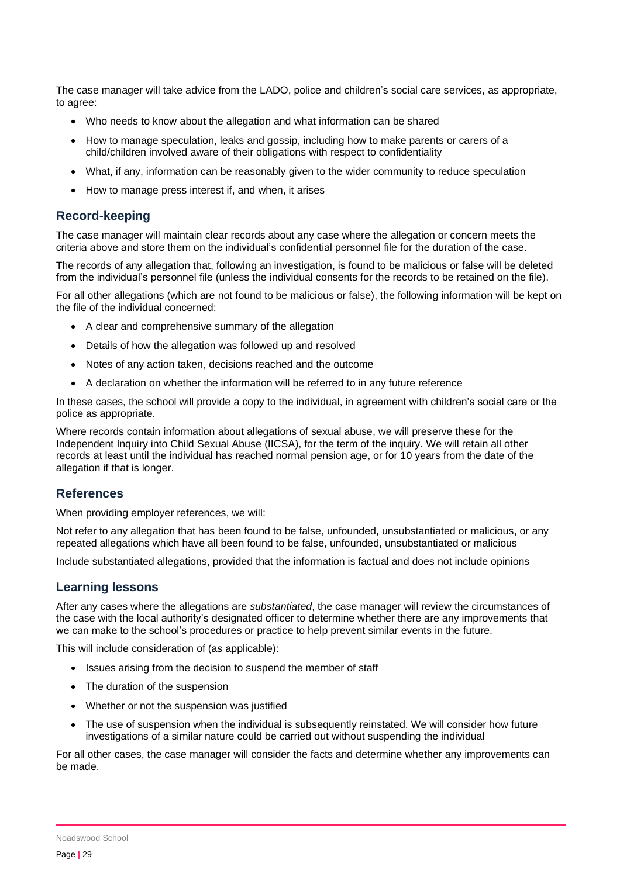The case manager will take advice from the LADO, police and children's social care services, as appropriate, to agree:

- Who needs to know about the allegation and what information can be shared
- How to manage speculation, leaks and gossip, including how to make parents or carers of a child/children involved aware of their obligations with respect to confidentiality
- What, if any, information can be reasonably given to the wider community to reduce speculation
- How to manage press interest if, and when, it arises

### **Record-keeping**

The case manager will maintain clear records about any case where the allegation or concern meets the criteria above and store them on the individual's confidential personnel file for the duration of the case.

The records of any allegation that, following an investigation, is found to be malicious or false will be deleted from the individual's personnel file (unless the individual consents for the records to be retained on the file).

For all other allegations (which are not found to be malicious or false), the following information will be kept on the file of the individual concerned:

- A clear and comprehensive summary of the allegation
- Details of how the allegation was followed up and resolved
- Notes of any action taken, decisions reached and the outcome
- A declaration on whether the information will be referred to in any future reference

In these cases, the school will provide a copy to the individual, in agreement with children's social care or the police as appropriate.

Where records contain information about allegations of sexual abuse, we will preserve these for the Independent Inquiry into Child Sexual Abuse (IICSA), for the term of the inquiry. We will retain all other records at least until the individual has reached normal pension age, or for 10 years from the date of the allegation if that is longer.

### **References**

When providing employer references, we will:

Not refer to any allegation that has been found to be false, unfounded, unsubstantiated or malicious, or any repeated allegations which have all been found to be false, unfounded, unsubstantiated or malicious

Include substantiated allegations, provided that the information is factual and does not include opinions

### **Learning lessons**

After any cases where the allegations are *substantiated*, the case manager will review the circumstances of the case with the local authority's designated officer to determine whether there are any improvements that we can make to the school's procedures or practice to help prevent similar events in the future.

This will include consideration of (as applicable):

- Issues arising from the decision to suspend the member of staff
- The duration of the suspension
- Whether or not the suspension was justified
- The use of suspension when the individual is subsequently reinstated. We will consider how future investigations of a similar nature could be carried out without suspending the individual

For all other cases, the case manager will consider the facts and determine whether any improvements can be made.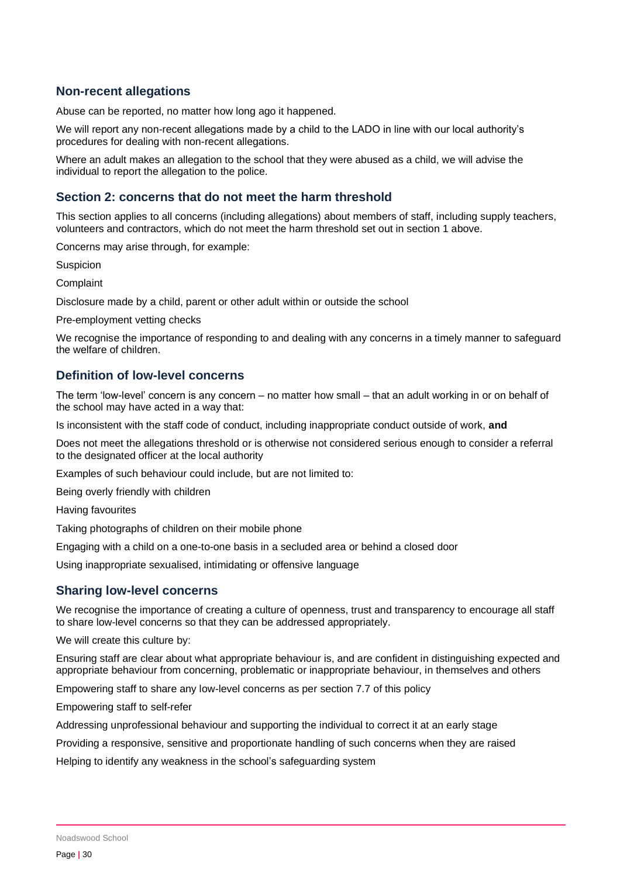## **Non-recent allegations**

Abuse can be reported, no matter how long ago it happened.

We will report any non-recent allegations made by a child to the LADO in line with our local authority's procedures for dealing with non-recent allegations.

Where an adult makes an allegation to the school that they were abused as a child, we will advise the individual to report the allegation to the police.

### **Section 2: concerns that do not meet the harm threshold**

This section applies to all concerns (including allegations) about members of staff, including supply teachers, volunteers and contractors, which do not meet the harm threshold set out in section 1 above.

Concerns may arise through, for example:

Suspicion

**Complaint** 

Disclosure made by a child, parent or other adult within or outside the school

Pre-employment vetting checks

We recognise the importance of responding to and dealing with any concerns in a timely manner to safeguard the welfare of children.

## **Definition of low-level concerns**

The term 'low-level' concern is any concern – no matter how small – that an adult working in or on behalf of the school may have acted in a way that:

Is inconsistent with the staff code of conduct, including inappropriate conduct outside of work, **and**

Does not meet the allegations threshold or is otherwise not considered serious enough to consider a referral to the designated officer at the local authority

Examples of such behaviour could include, but are not limited to:

Being overly friendly with children

Having favourites

Taking photographs of children on their mobile phone

Engaging with a child on a one-to-one basis in a secluded area or behind a closed door

Using inappropriate sexualised, intimidating or offensive language

### **Sharing low-level concerns**

We recognise the importance of creating a culture of openness, trust and transparency to encourage all staff to share low-level concerns so that they can be addressed appropriately.

We will create this culture by:

Ensuring staff are clear about what appropriate behaviour is, and are confident in distinguishing expected and appropriate behaviour from concerning, problematic or inappropriate behaviour, in themselves and others

Empowering staff to share any low-level concerns as per section 7.7 of this policy

Empowering staff to self-refer

Addressing unprofessional behaviour and supporting the individual to correct it at an early stage

Providing a responsive, sensitive and proportionate handling of such concerns when they are raised

Helping to identify any weakness in the school's safeguarding system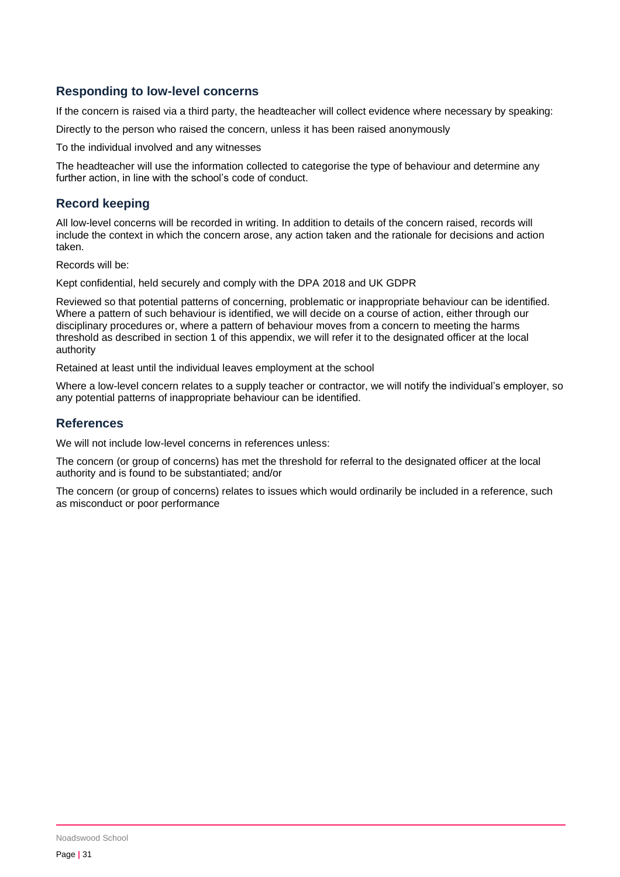# **Responding to low-level concerns**

If the concern is raised via a third party, the headteacher will collect evidence where necessary by speaking:

Directly to the person who raised the concern, unless it has been raised anonymously

To the individual involved and any witnesses

The headteacher will use the information collected to categorise the type of behaviour and determine any further action, in line with the school's code of conduct.

# **Record keeping**

All low-level concerns will be recorded in writing. In addition to details of the concern raised, records will include the context in which the concern arose, any action taken and the rationale for decisions and action taken.

Records will be:

Kept confidential, held securely and comply with the DPA 2018 and UK GDPR

Reviewed so that potential patterns of concerning, problematic or inappropriate behaviour can be identified. Where a pattern of such behaviour is identified, we will decide on a course of action, either through our disciplinary procedures or, where a pattern of behaviour moves from a concern to meeting the harms threshold as described in section 1 of this appendix, we will refer it to the designated officer at the local authority

Retained at least until the individual leaves employment at the school

Where a low-level concern relates to a supply teacher or contractor, we will notify the individual's employer, so any potential patterns of inappropriate behaviour can be identified.

# **References**

We will not include low-level concerns in references unless:

The concern (or group of concerns) has met the threshold for referral to the designated officer at the local authority and is found to be substantiated; and/or

The concern (or group of concerns) relates to issues which would ordinarily be included in a reference, such as misconduct or poor performance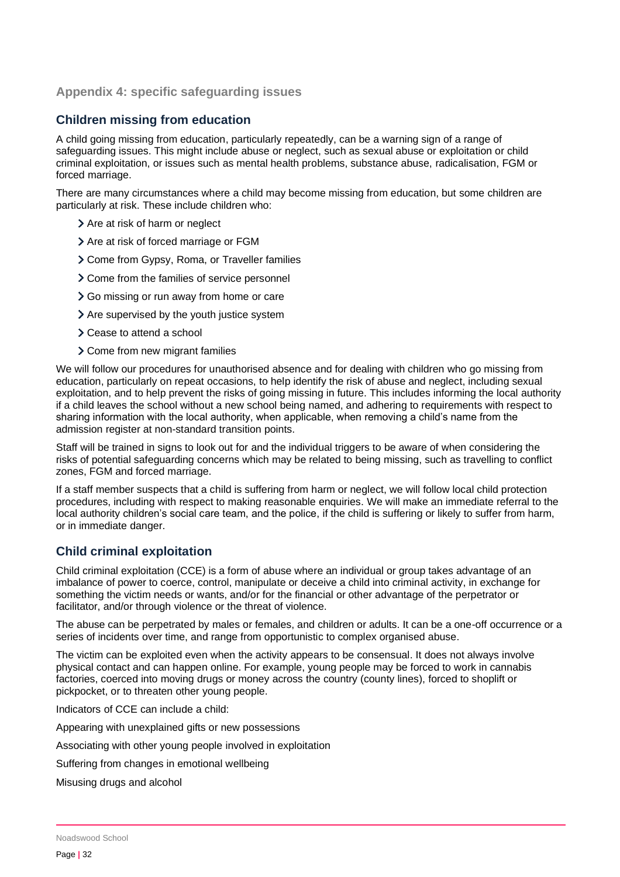## <span id="page-31-0"></span>**Appendix 4: specific safeguarding issues**

# **Children missing from education**

A child going missing from education, particularly repeatedly, can be a warning sign of a range of safeguarding issues. This might include abuse or neglect, such as sexual abuse or exploitation or child criminal exploitation, or issues such as mental health problems, substance abuse, radicalisation, FGM or forced marriage.

There are many circumstances where a child may become missing from education, but some children are particularly at risk. These include children who:

- > Are at risk of harm or neglect
- > Are at risk of forced marriage or FGM
- Come from Gypsy, Roma, or Traveller families
- > Come from the families of service personnel
- Go missing or run away from home or care
- > Are supervised by the youth justice system
- > Cease to attend a school
- Come from new migrant families

We will follow our procedures for unauthorised absence and for dealing with children who go missing from education, particularly on repeat occasions, to help identify the risk of abuse and neglect, including sexual exploitation, and to help prevent the risks of going missing in future. This includes informing the local authority if a child leaves the school without a new school being named, and adhering to requirements with respect to sharing information with the local authority, when applicable, when removing a child's name from the admission register at non-standard transition points.

Staff will be trained in signs to look out for and the individual triggers to be aware of when considering the risks of potential safeguarding concerns which may be related to being missing, such as travelling to conflict zones, FGM and forced marriage.

If a staff member suspects that a child is suffering from harm or neglect, we will follow local child protection procedures, including with respect to making reasonable enquiries. We will make an immediate referral to the local authority children's social care team, and the police, if the child is suffering or likely to suffer from harm, or in immediate danger.

## **Child criminal exploitation**

Child criminal exploitation (CCE) is a form of abuse where an individual or group takes advantage of an imbalance of power to coerce, control, manipulate or deceive a child into criminal activity, in exchange for something the victim needs or wants, and/or for the financial or other advantage of the perpetrator or facilitator, and/or through violence or the threat of violence.

The abuse can be perpetrated by males or females, and children or adults. It can be a one-off occurrence or a series of incidents over time, and range from opportunistic to complex organised abuse.

The victim can be exploited even when the activity appears to be consensual. It does not always involve physical contact and can happen online. For example, young people may be forced to work in cannabis factories, coerced into moving drugs or money across the country (county lines), forced to shoplift or pickpocket, or to threaten other young people.

Indicators of CCE can include a child:

Appearing with unexplained gifts or new possessions

Associating with other young people involved in exploitation

Suffering from changes in emotional wellbeing

Misusing drugs and alcohol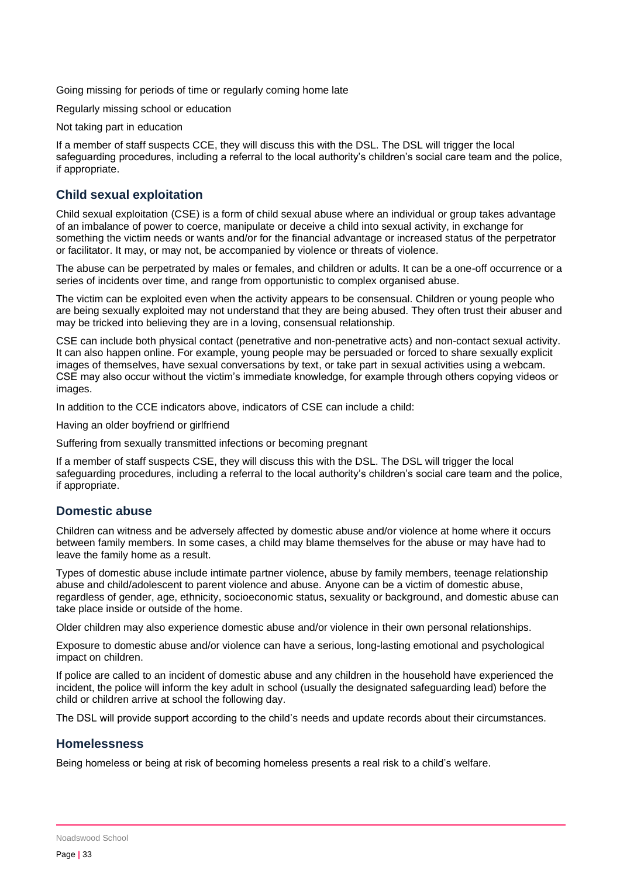Going missing for periods of time or regularly coming home late

Regularly missing school or education

Not taking part in education

If a member of staff suspects CCE, they will discuss this with the DSL. The DSL will trigger the local safeguarding procedures, including a referral to the local authority's children's social care team and the police, if appropriate.

## **Child sexual exploitation**

Child sexual exploitation (CSE) is a form of child sexual abuse where an individual or group takes advantage of an imbalance of power to coerce, manipulate or deceive a child into sexual activity, in exchange for something the victim needs or wants and/or for the financial advantage or increased status of the perpetrator or facilitator. It may, or may not, be accompanied by violence or threats of violence.

The abuse can be perpetrated by males or females, and children or adults. It can be a one-off occurrence or a series of incidents over time, and range from opportunistic to complex organised abuse.

The victim can be exploited even when the activity appears to be consensual. Children or young people who are being sexually exploited may not understand that they are being abused. They often trust their abuser and may be tricked into believing they are in a loving, consensual relationship.

CSE can include both physical contact (penetrative and non-penetrative acts) and non-contact sexual activity. It can also happen online. For example, young people may be persuaded or forced to share sexually explicit images of themselves, have sexual conversations by text, or take part in sexual activities using a webcam. CSE may also occur without the victim's immediate knowledge, for example through others copying videos or images.

In addition to the CCE indicators above, indicators of CSE can include a child:

Having an older boyfriend or girlfriend

Suffering from sexually transmitted infections or becoming pregnant

If a member of staff suspects CSE, they will discuss this with the DSL. The DSL will trigger the local safeguarding procedures, including a referral to the local authority's children's social care team and the police, if appropriate.

### **Domestic abuse**

Children can witness and be adversely affected by domestic abuse and/or violence at home where it occurs between family members. In some cases, a child may blame themselves for the abuse or may have had to leave the family home as a result.

Types of domestic abuse include intimate partner violence, abuse by family members, teenage relationship abuse and child/adolescent to parent violence and abuse. Anyone can be a victim of domestic abuse, regardless of gender, age, ethnicity, socioeconomic status, sexuality or background, and domestic abuse can take place inside or outside of the home.

Older children may also experience domestic abuse and/or violence in their own personal relationships.

Exposure to domestic abuse and/or violence can have a serious, long-lasting emotional and psychological impact on children.

If police are called to an incident of domestic abuse and any children in the household have experienced the incident, the police will inform the key adult in school (usually the designated safeguarding lead) before the child or children arrive at school the following day.

The DSL will provide support according to the child's needs and update records about their circumstances.

### **Homelessness**

Being homeless or being at risk of becoming homeless presents a real risk to a child's welfare.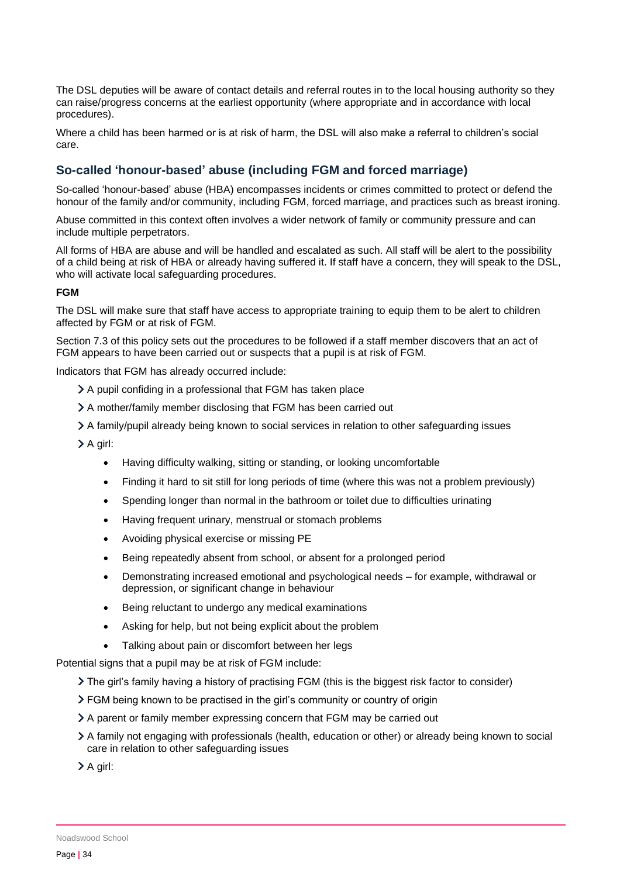The DSL deputies will be aware of contact details and referral routes in to the local housing authority so they can raise/progress concerns at the earliest opportunity (where appropriate and in accordance with local procedures).

Where a child has been harmed or is at risk of harm, the DSL will also make a referral to children's social care.

# **So-called 'honour-based' abuse (including FGM and forced marriage)**

So-called 'honour-based' abuse (HBA) encompasses incidents or crimes committed to protect or defend the honour of the family and/or community, including FGM, forced marriage, and practices such as breast ironing.

Abuse committed in this context often involves a wider network of family or community pressure and can include multiple perpetrators.

All forms of HBA are abuse and will be handled and escalated as such. All staff will be alert to the possibility of a child being at risk of HBA or already having suffered it. If staff have a concern, they will speak to the DSL, who will activate local safeguarding procedures.

#### **FGM**

The DSL will make sure that staff have access to appropriate training to equip them to be alert to children affected by FGM or at risk of FGM.

Section 7.3 of this policy sets out the procedures to be followed if a staff member discovers that an act of FGM appears to have been carried out or suspects that a pupil is at risk of FGM.

Indicators that FGM has already occurred include:

- A pupil confiding in a professional that FGM has taken place
- A mother/family member disclosing that FGM has been carried out
- A family/pupil already being known to social services in relation to other safeguarding issues

A girl:

- Having difficulty walking, sitting or standing, or looking uncomfortable
- Finding it hard to sit still for long periods of time (where this was not a problem previously)
- Spending longer than normal in the bathroom or toilet due to difficulties urinating
- Having frequent urinary, menstrual or stomach problems
- Avoiding physical exercise or missing PE
- Being repeatedly absent from school, or absent for a prolonged period
- Demonstrating increased emotional and psychological needs for example, withdrawal or depression, or significant change in behaviour
- Being reluctant to undergo any medical examinations
- Asking for help, but not being explicit about the problem
- Talking about pain or discomfort between her legs

Potential signs that a pupil may be at risk of FGM include:

- The girl's family having a history of practising FGM (this is the biggest risk factor to consider)
- FGM being known to be practised in the girl's community or country of origin
- A parent or family member expressing concern that FGM may be carried out
- A family not engaging with professionals (health, education or other) or already being known to social care in relation to other safeguarding issues

> A girl: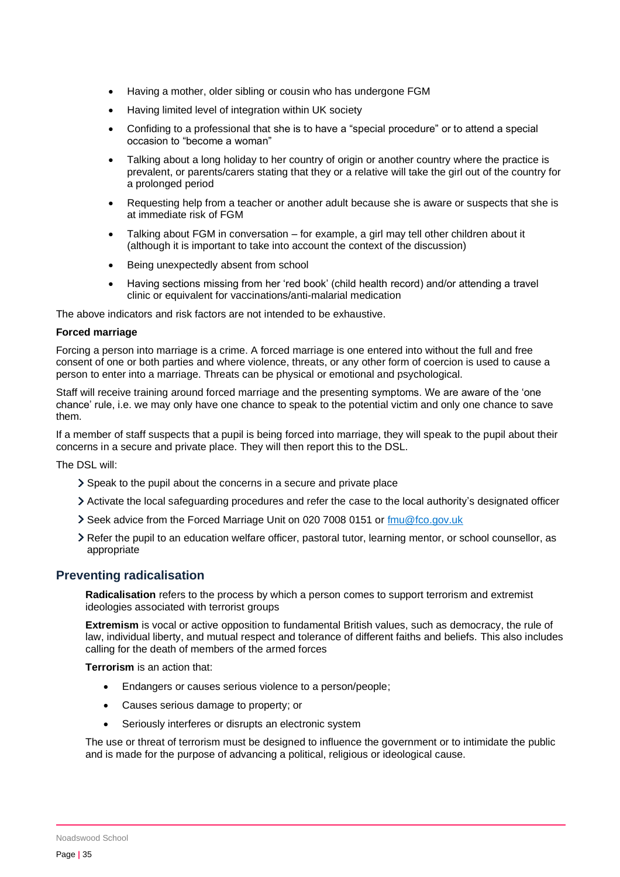- Having a mother, older sibling or cousin who has undergone FGM
- Having limited level of integration within UK society
- Confiding to a professional that she is to have a "special procedure" or to attend a special occasion to "become a woman"
- Talking about a long holiday to her country of origin or another country where the practice is prevalent, or parents/carers stating that they or a relative will take the girl out of the country for a prolonged period
- Requesting help from a teacher or another adult because she is aware or suspects that she is at immediate risk of FGM
- Talking about FGM in conversation for example, a girl may tell other children about it (although it is important to take into account the context of the discussion)
- Being unexpectedly absent from school
- Having sections missing from her 'red book' (child health record) and/or attending a travel clinic or equivalent for vaccinations/anti-malarial medication

The above indicators and risk factors are not intended to be exhaustive.

#### **Forced marriage**

Forcing a person into marriage is a crime. A forced marriage is one entered into without the full and free consent of one or both parties and where violence, threats, or any other form of coercion is used to cause a person to enter into a marriage. Threats can be physical or emotional and psychological.

Staff will receive training around forced marriage and the presenting symptoms. We are aware of the 'one chance' rule, i.e. we may only have one chance to speak to the potential victim and only one chance to save them.

If a member of staff suspects that a pupil is being forced into marriage, they will speak to the pupil about their concerns in a secure and private place. They will then report this to the DSL.

The DSL will:

- Speak to the pupil about the concerns in a secure and private place
- Activate the local safeguarding procedures and refer the case to the local authority's designated officer
- Seek advice from the Forced Marriage Unit on 020 7008 0151 or [fmu@fco.gov.uk](mailto:fmu@fco.gov.uk)
- Refer the pupil to an education welfare officer, pastoral tutor, learning mentor, or school counsellor, as appropriate

## **Preventing radicalisation**

**Radicalisation** refers to the process by which a person comes to support terrorism and extremist ideologies associated with terrorist groups

**Extremism** is vocal or active opposition to fundamental British values, such as democracy, the rule of law, individual liberty, and mutual respect and tolerance of different faiths and beliefs. This also includes calling for the death of members of the armed forces

**Terrorism** is an action that:

- Endangers or causes serious violence to a person/people;
- Causes serious damage to property; or
- Seriously interferes or disrupts an electronic system

The use or threat of terrorism must be designed to influence the government or to intimidate the public and is made for the purpose of advancing a political, religious or ideological cause.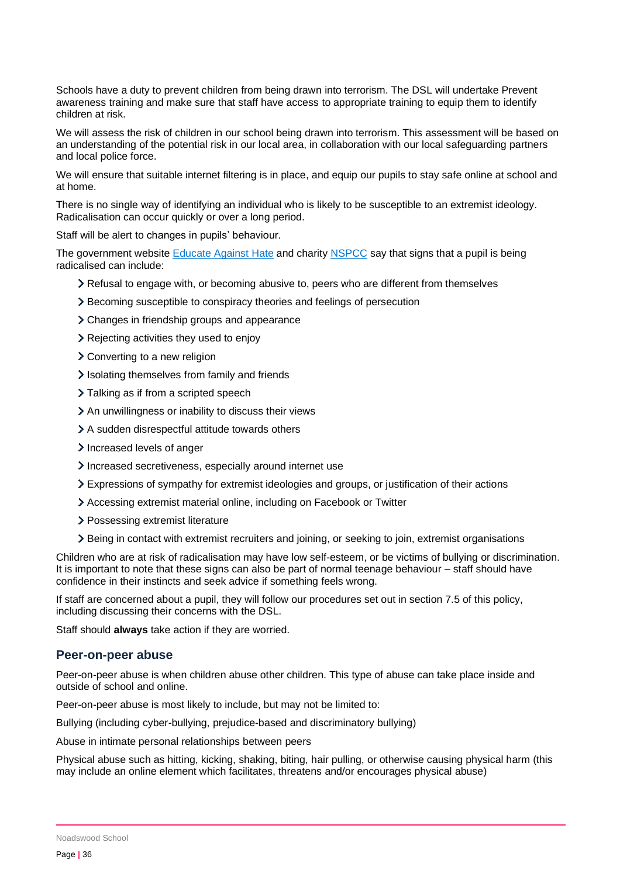Schools have a duty to prevent children from being drawn into terrorism. The DSL will undertake Prevent awareness training and make sure that staff have access to appropriate training to equip them to identify children at risk.

We will assess the risk of children in our school being drawn into terrorism. This assessment will be based on an understanding of the potential risk in our local area, in collaboration with our local safeguarding partners and local police force.

We will ensure that suitable internet filtering is in place, and equip our pupils to stay safe online at school and at home.

There is no single way of identifying an individual who is likely to be susceptible to an extremist ideology. Radicalisation can occur quickly or over a long period.

Staff will be alert to changes in pupils' behaviour.

The government website [Educate Against](http://educateagainsthate.com/parents/what-are-the-warning-signs/) Hate and charity [NSPCC](https://www.nspcc.org.uk/what-you-can-do/report-abuse/dedicated-helplines/protecting-children-from-radicalisation/) say that signs that a pupil is being radicalised can include:

- Refusal to engage with, or becoming abusive to, peers who are different from themselves
- Becoming susceptible to conspiracy theories and feelings of persecution
- Changes in friendship groups and appearance
- > Rejecting activities they used to enjoy
- Converting to a new religion
- Isolating themselves from family and friends
- > Talking as if from a scripted speech
- An unwillingness or inability to discuss their views
- A sudden disrespectful attitude towards others
- > Increased levels of anger
- Increased secretiveness, especially around internet use
- Expressions of sympathy for extremist ideologies and groups, or justification of their actions
- Accessing extremist material online, including on Facebook or Twitter
- > Possessing extremist literature
- Being in contact with extremist recruiters and joining, or seeking to join, extremist organisations

Children who are at risk of radicalisation may have low self-esteem, or be victims of bullying or discrimination. It is important to note that these signs can also be part of normal teenage behaviour – staff should have confidence in their instincts and seek advice if something feels wrong.

If staff are concerned about a pupil, they will follow our procedures set out in section 7.5 of this policy, including discussing their concerns with the DSL.

Staff should **always** take action if they are worried.

### **Peer-on-peer abuse**

Peer-on-peer abuse is when children abuse other children. This type of abuse can take place inside and outside of school and online.

Peer-on-peer abuse is most likely to include, but may not be limited to:

Bullying (including cyber-bullying, prejudice-based and discriminatory bullying)

Abuse in intimate personal relationships between peers

Physical abuse such as hitting, kicking, shaking, biting, hair pulling, or otherwise causing physical harm (this may include an online element which facilitates, threatens and/or encourages physical abuse)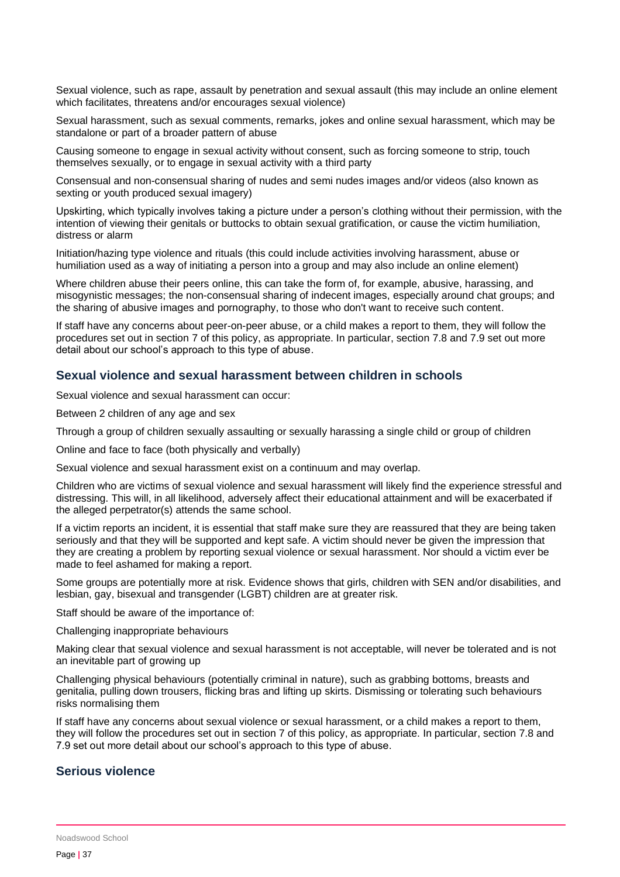Sexual violence, such as rape, assault by penetration and sexual assault (this may include an online element which facilitates, threatens and/or encourages sexual violence)

Sexual harassment, such as sexual comments, remarks, jokes and online sexual harassment, which may be standalone or part of a broader pattern of abuse

Causing someone to engage in sexual activity without consent, such as forcing someone to strip, touch themselves sexually, or to engage in sexual activity with a third party

Consensual and non-consensual sharing of nudes and semi nudes images and/or videos (also known as sexting or youth produced sexual imagery)

Upskirting, which typically involves taking a picture under a person's clothing without their permission, with the intention of viewing their genitals or buttocks to obtain sexual gratification, or cause the victim humiliation, distress or alarm

Initiation/hazing type violence and rituals (this could include activities involving harassment, abuse or humiliation used as a way of initiating a person into a group and may also include an online element)

Where children abuse their peers online, this can take the form of, for example, abusive, harassing, and misogynistic messages; the non-consensual sharing of indecent images, especially around chat groups; and the sharing of abusive images and pornography, to those who don't want to receive such content.

If staff have any concerns about peer-on-peer abuse, or a child makes a report to them, they will follow the procedures set out in section 7 of this policy, as appropriate. In particular, section 7.8 and 7.9 set out more detail about our school's approach to this type of abuse.

## **Sexual violence and sexual harassment between children in schools**

Sexual violence and sexual harassment can occur:

Between 2 children of any age and sex

Through a group of children sexually assaulting or sexually harassing a single child or group of children

Online and face to face (both physically and verbally)

Sexual violence and sexual harassment exist on a continuum and may overlap.

Children who are victims of sexual violence and sexual harassment will likely find the experience stressful and distressing. This will, in all likelihood, adversely affect their educational attainment and will be exacerbated if the alleged perpetrator(s) attends the same school.

If a victim reports an incident, it is essential that staff make sure they are reassured that they are being taken seriously and that they will be supported and kept safe. A victim should never be given the impression that they are creating a problem by reporting sexual violence or sexual harassment. Nor should a victim ever be made to feel ashamed for making a report.

Some groups are potentially more at risk. Evidence shows that girls, children with SEN and/or disabilities, and lesbian, gay, bisexual and transgender (LGBT) children are at greater risk.

Staff should be aware of the importance of:

Challenging inappropriate behaviours

Making clear that sexual violence and sexual harassment is not acceptable, will never be tolerated and is not an inevitable part of growing up

Challenging physical behaviours (potentially criminal in nature), such as grabbing bottoms, breasts and genitalia, pulling down trousers, flicking bras and lifting up skirts. Dismissing or tolerating such behaviours risks normalising them

If staff have any concerns about sexual violence or sexual harassment, or a child makes a report to them, they will follow the procedures set out in section 7 of this policy, as appropriate. In particular, section 7.8 and 7.9 set out more detail about our school's approach to this type of abuse.

## **Serious violence**